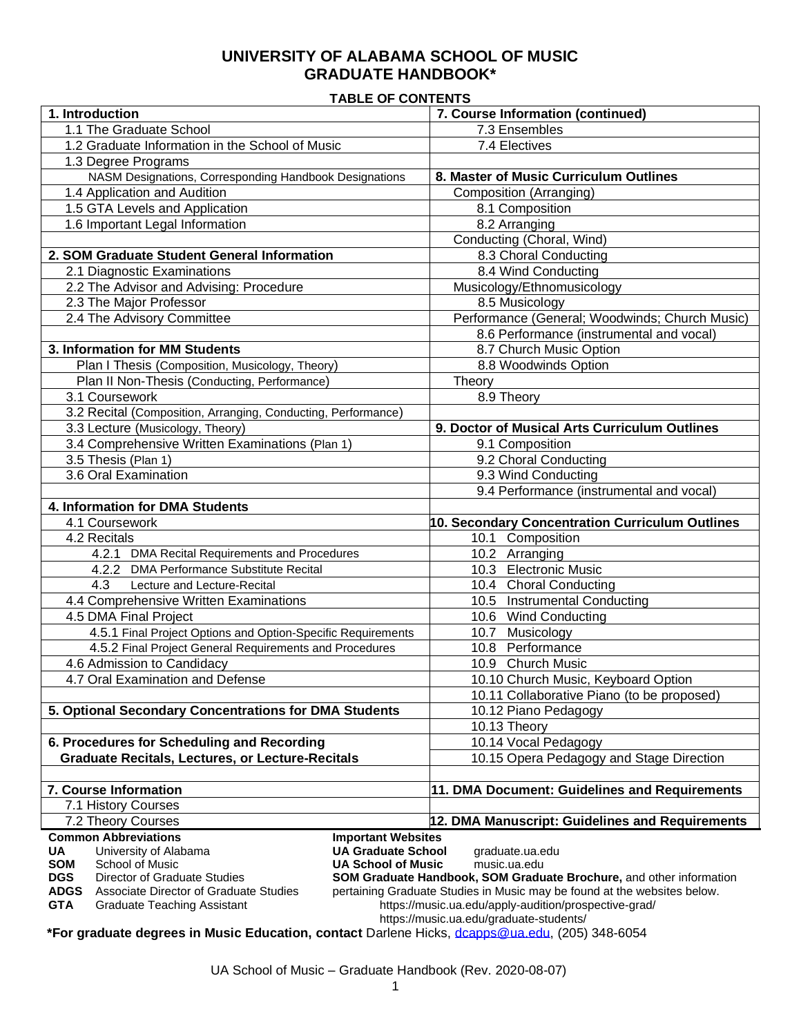# **UNIVERSITY OF ALABAMA SCHOOL OF MUSIC GRADUATE HANDBOOK\***

### **TABLE OF CONTENTS**

| 1. Introduction                                                                              | 7. Course Information (continued)                                                                |
|----------------------------------------------------------------------------------------------|--------------------------------------------------------------------------------------------------|
| 1.1 The Graduate School                                                                      | 7.3 Ensembles                                                                                    |
| 1.2 Graduate Information in the School of Music                                              | 7.4 Electives                                                                                    |
| 1.3 Degree Programs                                                                          |                                                                                                  |
| NASM Designations, Corresponding Handbook Designations                                       | 8. Master of Music Curriculum Outlines                                                           |
| 1.4 Application and Audition                                                                 | <b>Composition</b> (Arranging)                                                                   |
| 1.5 GTA Levels and Application                                                               | 8.1 Composition                                                                                  |
| 1.6 Important Legal Information                                                              | 8.2 Arranging                                                                                    |
|                                                                                              | Conducting (Choral, Wind)                                                                        |
| 2. SOM Graduate Student General Information                                                  | 8.3 Choral Conducting                                                                            |
| 2.1 Diagnostic Examinations                                                                  | 8.4 Wind Conducting                                                                              |
| 2.2 The Advisor and Advising: Procedure                                                      | Musicology/Ethnomusicology                                                                       |
| 2.3 The Major Professor                                                                      | 8.5 Musicology                                                                                   |
| 2.4 The Advisory Committee                                                                   | Performance (General; Woodwinds; Church Music)                                                   |
|                                                                                              | 8.6 Performance (instrumental and vocal)                                                         |
| 3. Information for MM Students                                                               |                                                                                                  |
|                                                                                              | 8.7 Church Music Option                                                                          |
| Plan I Thesis (Composition, Musicology, Theory)                                              | 8.8 Woodwinds Option                                                                             |
| Plan II Non-Thesis (Conducting, Performance)                                                 | Theory                                                                                           |
| 3.1 Coursework                                                                               | 8.9 Theory                                                                                       |
| 3.2 Recital (Composition, Arranging, Conducting, Performance)                                |                                                                                                  |
| 3.3 Lecture (Musicology, Theory)                                                             | 9. Doctor of Musical Arts Curriculum Outlines                                                    |
| 3.4 Comprehensive Written Examinations (Plan 1)                                              | 9.1 Composition                                                                                  |
| 3.5 Thesis (Plan 1)                                                                          | 9.2 Choral Conducting                                                                            |
| 3.6 Oral Examination                                                                         | 9.3 Wind Conducting                                                                              |
|                                                                                              | 9.4 Performance (instrumental and vocal)                                                         |
| 4. Information for DMA Students                                                              |                                                                                                  |
| 4.1 Coursework                                                                               | 10. Secondary Concentration Curriculum Outlines                                                  |
| 4.2 Recitals                                                                                 | 10.1 Composition                                                                                 |
| 4.2.1 DMA Recital Requirements and Procedures                                                | 10.2 Arranging                                                                                   |
|                                                                                              |                                                                                                  |
| 4.2.2 DMA Performance Substitute Recital                                                     | 10.3 Electronic Music                                                                            |
| 4.3<br>Lecture and Lecture-Recital                                                           | 10.4 Choral Conducting                                                                           |
| 4.4 Comprehensive Written Examinations                                                       | 10.5 Instrumental Conducting                                                                     |
| 4.5 DMA Final Project                                                                        | 10.6 Wind Conducting                                                                             |
| 4.5.1 Final Project Options and Option-Specific Requirements                                 | 10.7 Musicology                                                                                  |
| 4.5.2 Final Project General Requirements and Procedures                                      | 10.8 Performance                                                                                 |
| 4.6 Admission to Candidacy                                                                   | 10.9 Church Music                                                                                |
| 4.7 Oral Examination and Defense                                                             |                                                                                                  |
|                                                                                              | 10.10 Church Music, Keyboard Option                                                              |
| 5. Optional Secondary Concentrations for DMA Students                                        | 10.11 Collaborative Piano (to be proposed)<br>10.12 Piano Pedagogy                               |
|                                                                                              |                                                                                                  |
|                                                                                              | 10.13 Theory                                                                                     |
| 6. Procedures for Scheduling and Recording                                                   | 10.14 Vocal Pedagogy                                                                             |
| <b>Graduate Recitals, Lectures, or Lecture-Recitals</b>                                      | 10.15 Opera Pedagogy and Stage Direction                                                         |
|                                                                                              |                                                                                                  |
| 7. Course Information                                                                        | 11. DMA Document: Guidelines and Requirements                                                    |
| 7.1 History Courses                                                                          |                                                                                                  |
| 7.2 Theory Courses<br><b>Common Abbreviations</b>                                            | 12. DMA Manuscript: Guidelines and Requirements                                                  |
| <b>Important Websites</b><br><b>UA Graduate School</b><br><b>UA</b><br>University of Alabama | graduate.ua.edu                                                                                  |
| <b>SOM</b><br><b>UA School of Music</b><br>School of Music                                   | music.ua.edu                                                                                     |
| <b>DGS</b><br>Director of Graduate Studies                                                   | SOM Graduate Handbook, SOM Graduate Brochure, and other information                              |
| <b>ADGS</b><br>Associate Director of Graduate Studies                                        | pertaining Graduate Studies in Music may be found at the websites below.                         |
| <b>GTA</b><br><b>Graduate Teaching Assistant</b>                                             | https://music.ua.edu/apply-audition/prospective-grad/<br>https://music.ua.edu/graduate-students/ |

**\*For graduate degrees in Music Education, contact** Darlene Hicks, [dcapps@ua.edu,](mailto:dcapps@ua.edu) (205) 348-6054

UA School of Music – Graduate Handbook (Rev. 2020-08-07)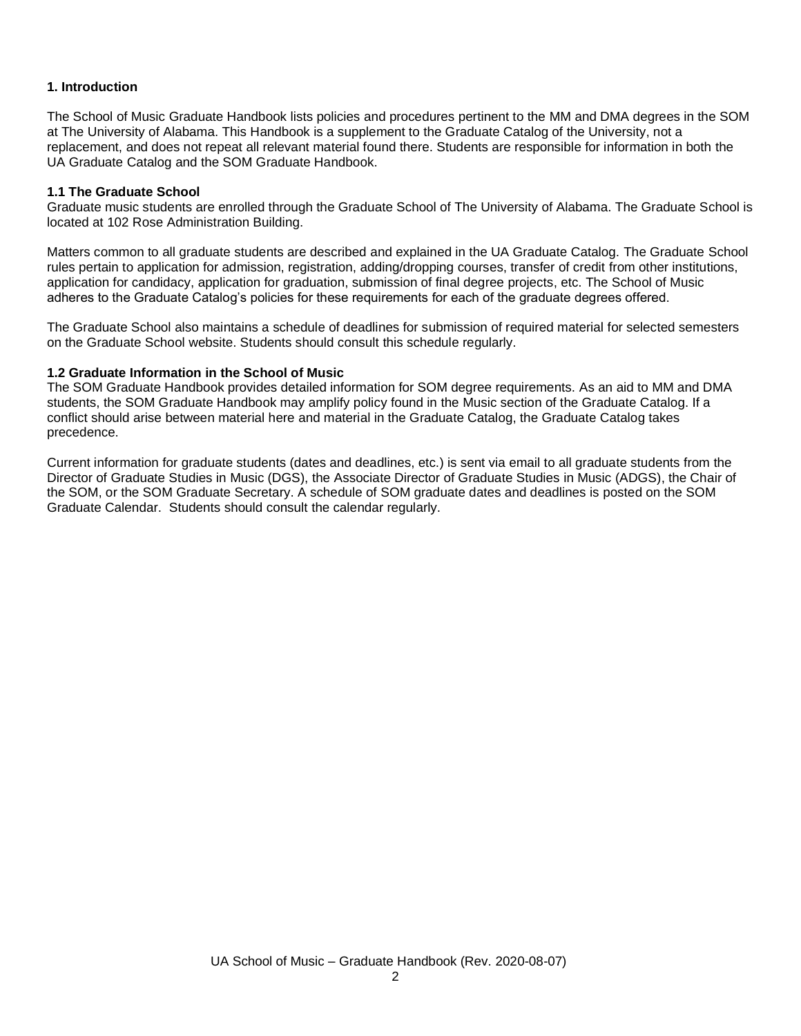## **1. Introduction**

The School of Music Graduate Handbook lists policies and procedures pertinent to the MM and DMA degrees in the SOM at The University of Alabama. This Handbook is a supplement to the Graduate Catalog of the University, not a replacement, and does not repeat all relevant material found there. Students are responsible for information in both the UA Graduate Catalog and the SOM Graduate Handbook.

#### **1.1 The Graduate School**

Graduate music students are enrolled through the Graduate School of The University of Alabama. The Graduate School is located at 102 Rose Administration Building.

Matters common to all graduate students are described and explained in the UA Graduate Catalog. The Graduate School rules pertain to application for admission, registration, adding/dropping courses, transfer of credit from other institutions, application for candidacy, application for graduation, submission of final degree projects, etc. The School of Music adheres to the Graduate Catalog's policies for these requirements for each of the graduate degrees offered.

The Graduate School also maintains a schedule of deadlines for submission of required material for selected semesters on the Graduate School website. Students should consult this schedule regularly.

#### **1.2 Graduate Information in the School of Music**

The SOM Graduate Handbook provides detailed information for SOM degree requirements. As an aid to MM and DMA students, the SOM Graduate Handbook may amplify policy found in the Music section of the Graduate Catalog. If a conflict should arise between material here and material in the Graduate Catalog, the Graduate Catalog takes precedence.

Current information for graduate students (dates and deadlines, etc.) is sent via email to all graduate students from the Director of Graduate Studies in Music (DGS), the Associate Director of Graduate Studies in Music (ADGS), the Chair of the SOM, or the SOM Graduate Secretary. A schedule of SOM graduate dates and deadlines is posted on the SOM Graduate Calendar. Students should consult the calendar regularly.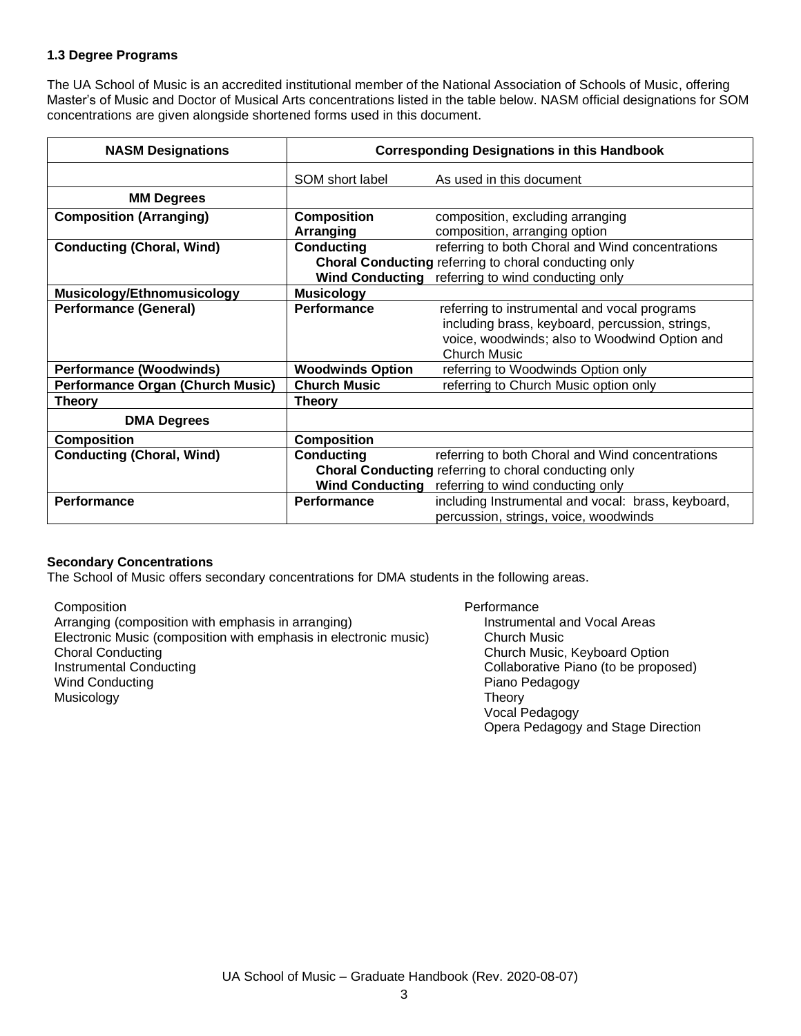### **1.3 Degree Programs**

The UA School of Music is an accredited institutional member of the National Association of Schools of Music, offering Master's of Music and Doctor of Musical Arts concentrations listed in the table below. NASM official designations for SOM concentrations are given alongside shortened forms used in this document.

| <b>NASM Designations</b>                |                                             | <b>Corresponding Designations in this Handbook</b>                                                                                                                      |
|-----------------------------------------|---------------------------------------------|-------------------------------------------------------------------------------------------------------------------------------------------------------------------------|
|                                         | SOM short label                             | As used in this document                                                                                                                                                |
| <b>MM Degrees</b>                       |                                             |                                                                                                                                                                         |
| <b>Composition (Arranging)</b>          | <b>Composition</b><br>Arranging             | composition, excluding arranging<br>composition, arranging option                                                                                                       |
| <b>Conducting (Choral, Wind)</b>        | <b>Conducting</b><br><b>Wind Conducting</b> | referring to both Choral and Wind concentrations<br>Choral Conducting referring to choral conducting only<br>referring to wind conducting only                          |
| <b>Musicology/Ethnomusicology</b>       | <b>Musicology</b>                           |                                                                                                                                                                         |
| <b>Performance (General)</b>            | Performance                                 | referring to instrumental and vocal programs<br>including brass, keyboard, percussion, strings,<br>voice, woodwinds; also to Woodwind Option and<br><b>Church Music</b> |
| <b>Performance (Woodwinds)</b>          | <b>Woodwinds Option</b>                     | referring to Woodwinds Option only                                                                                                                                      |
| <b>Performance Organ (Church Music)</b> | <b>Church Music</b>                         | referring to Church Music option only                                                                                                                                   |
| <b>Theory</b>                           | <b>Theory</b>                               |                                                                                                                                                                         |
| <b>DMA Degrees</b>                      |                                             |                                                                                                                                                                         |
| <b>Composition</b>                      | <b>Composition</b>                          |                                                                                                                                                                         |
| <b>Conducting (Choral, Wind)</b>        | <b>Conducting</b>                           | referring to both Choral and Wind concentrations                                                                                                                        |
|                                         |                                             | Choral Conducting referring to choral conducting only                                                                                                                   |
|                                         | <b>Wind Conducting</b>                      | referring to wind conducting only                                                                                                                                       |
| <b>Performance</b>                      | <b>Performance</b>                          | including Instrumental and vocal: brass, keyboard,<br>percussion, strings, voice, woodwinds                                                                             |

### **Secondary Concentrations**

The School of Music offers secondary concentrations for DMA students in the following areas.

Composition

Arranging (composition with emphasis in arranging) Electronic Music (composition with emphasis in electronic music) Choral Conducting Instrumental Conducting Wind Conducting Musicology

#### **Performance** Instrumental and Vocal Areas Church Music Church Music, Keyboard Option Collaborative Piano (to be proposed) Piano Pedagogy Theory Vocal Pedagogy Opera Pedagogy and Stage Direction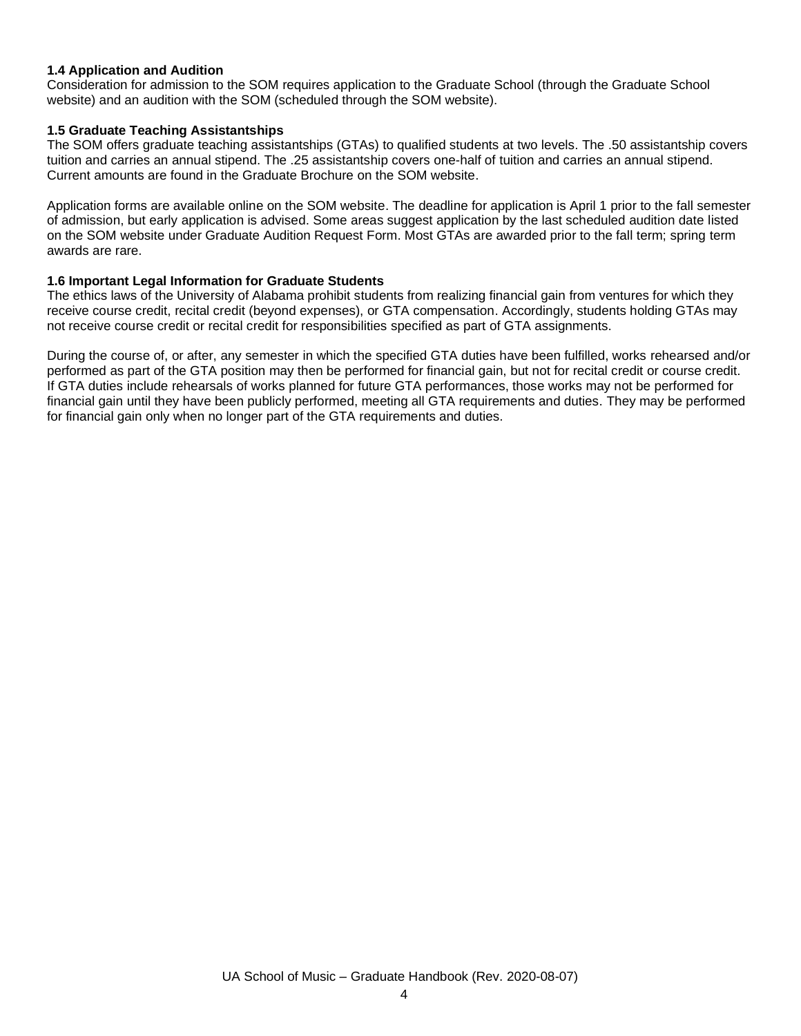#### **1.4 Application and Audition**

Consideration for admission to the SOM requires application to the Graduate School (through the Graduate School website) and an audition with the SOM (scheduled through the SOM website).

#### **1.5 Graduate Teaching Assistantships**

The SOM offers graduate teaching assistantships (GTAs) to qualified students at two levels. The .50 assistantship covers tuition and carries an annual stipend. The .25 assistantship covers one-half of tuition and carries an annual stipend. Current amounts are found in the Graduate Brochure on the SOM website.

Application forms are available online on the SOM website. The deadline for application is April 1 prior to the fall semester of admission, but early application is advised. Some areas suggest application by the last scheduled audition date listed on the SOM website under Graduate Audition Request Form. Most GTAs are awarded prior to the fall term; spring term awards are rare.

### **1.6 Important Legal Information for Graduate Students**

The ethics laws of the University of Alabama prohibit students from realizing financial gain from ventures for which they receive course credit, recital credit (beyond expenses), or GTA compensation. Accordingly, students holding GTAs may not receive course credit or recital credit for responsibilities specified as part of GTA assignments.

During the course of, or after, any semester in which the specified GTA duties have been fulfilled, works rehearsed and/or performed as part of the GTA position may then be performed for financial gain, but not for recital credit or course credit. If GTA duties include rehearsals of works planned for future GTA performances, those works may not be performed for financial gain until they have been publicly performed, meeting all GTA requirements and duties. They may be performed for financial gain only when no longer part of the GTA requirements and duties.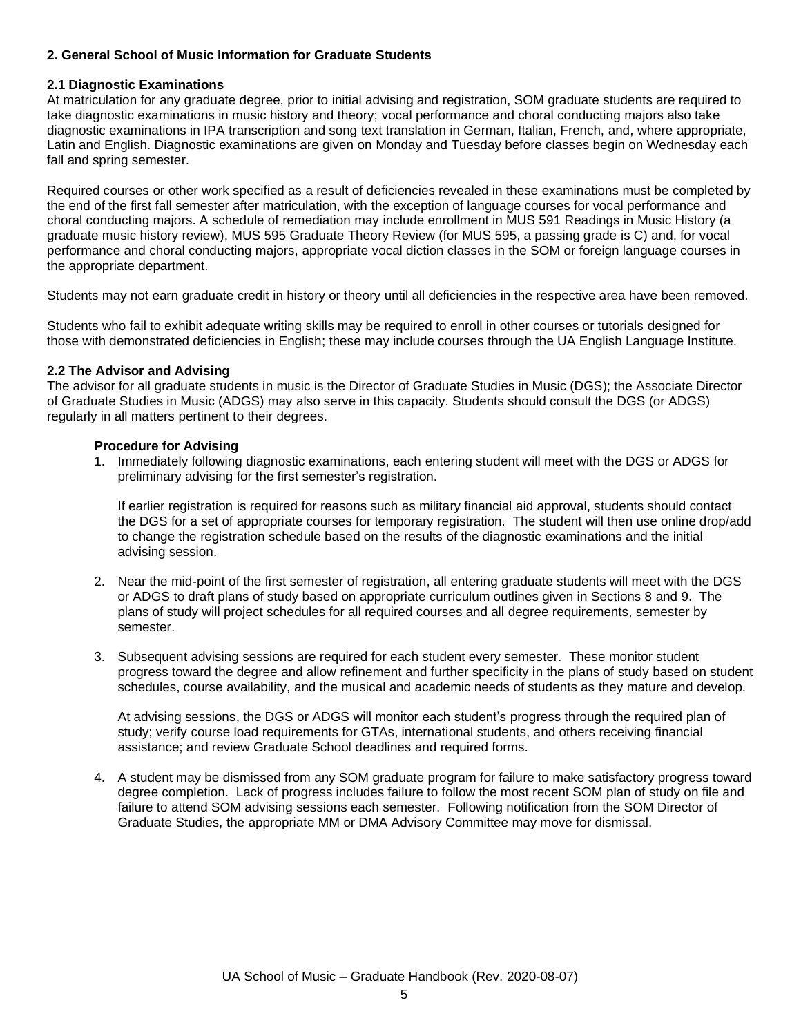## **2. General School of Music Information for Graduate Students**

#### **2.1 Diagnostic Examinations**

At matriculation for any graduate degree, prior to initial advising and registration, SOM graduate students are required to take diagnostic examinations in music history and theory; vocal performance and choral conducting majors also take diagnostic examinations in IPA transcription and song text translation in German, Italian, French, and, where appropriate, Latin and English. Diagnostic examinations are given on Monday and Tuesday before classes begin on Wednesday each fall and spring semester.

Required courses or other work specified as a result of deficiencies revealed in these examinations must be completed by the end of the first fall semester after matriculation, with the exception of language courses for vocal performance and choral conducting majors. A schedule of remediation may include enrollment in MUS 591 Readings in Music History (a graduate music history review), MUS 595 Graduate Theory Review (for MUS 595, a passing grade is C) and, for vocal performance and choral conducting majors, appropriate vocal diction classes in the SOM or foreign language courses in the appropriate department.

Students may not earn graduate credit in history or theory until all deficiencies in the respective area have been removed.

Students who fail to exhibit adequate writing skills may be required to enroll in other courses or tutorials designed for those with demonstrated deficiencies in English; these may include courses through the UA English Language Institute.

### **2.2 The Advisor and Advising**

The advisor for all graduate students in music is the Director of Graduate Studies in Music (DGS); the Associate Director of Graduate Studies in Music (ADGS) may also serve in this capacity. Students should consult the DGS (or ADGS) regularly in all matters pertinent to their degrees.

### **Procedure for Advising**

1. Immediately following diagnostic examinations, each entering student will meet with the DGS or ADGS for preliminary advising for the first semester's registration.

If earlier registration is required for reasons such as military financial aid approval, students should contact the DGS for a set of appropriate courses for temporary registration. The student will then use online drop/add to change the registration schedule based on the results of the diagnostic examinations and the initial advising session.

- 2. Near the mid-point of the first semester of registration, all entering graduate students will meet with the DGS or ADGS to draft plans of study based on appropriate curriculum outlines given in Sections 8 and 9. The plans of study will project schedules for all required courses and all degree requirements, semester by semester.
- 3. Subsequent advising sessions are required for each student every semester. These monitor student progress toward the degree and allow refinement and further specificity in the plans of study based on student schedules, course availability, and the musical and academic needs of students as they mature and develop.

At advising sessions, the DGS or ADGS will monitor each student's progress through the required plan of study; verify course load requirements for GTAs, international students, and others receiving financial assistance; and review Graduate School deadlines and required forms.

4. A student may be dismissed from any SOM graduate program for failure to make satisfactory progress toward degree completion. Lack of progress includes failure to follow the most recent SOM plan of study on file and failure to attend SOM advising sessions each semester. Following notification from the SOM Director of Graduate Studies, the appropriate MM or DMA Advisory Committee may move for dismissal.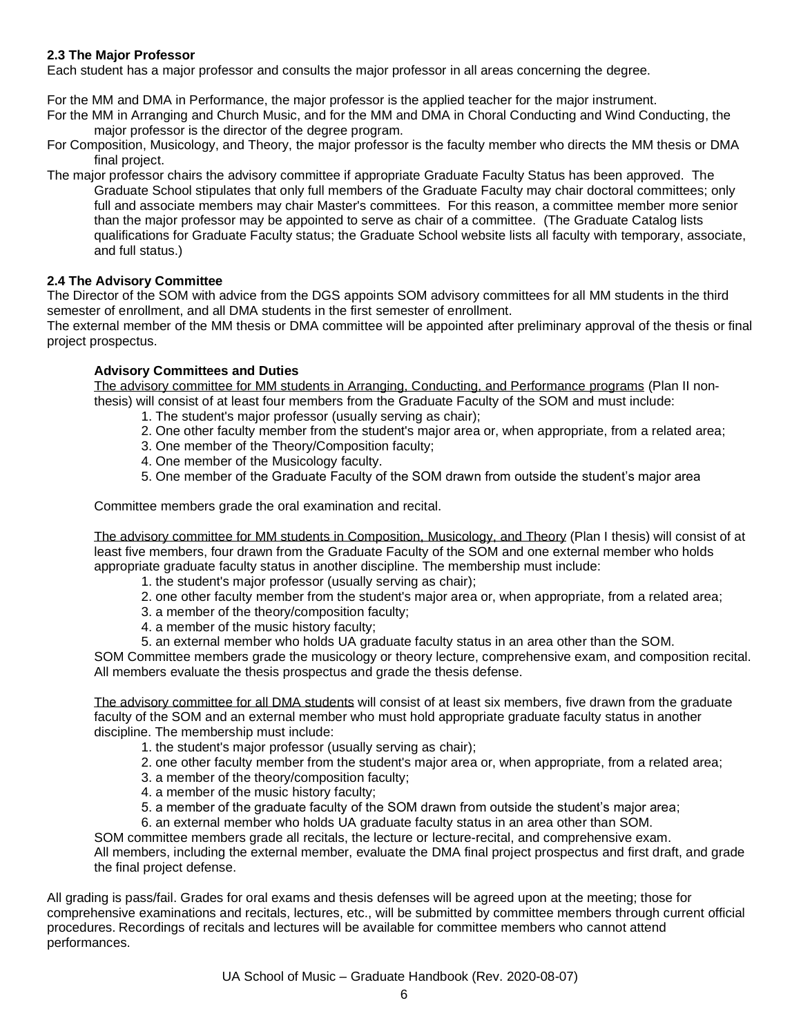## **2.3 The Major Professor**

Each student has a major professor and consults the major professor in all areas concerning the degree.

For the MM and DMA in Performance, the major professor is the applied teacher for the major instrument.

For the MM in Arranging and Church Music, and for the MM and DMA in Choral Conducting and Wind Conducting, the major professor is the director of the degree program.

For Composition, Musicology, and Theory, the major professor is the faculty member who directs the MM thesis or DMA final project.

The major professor chairs the advisory committee if appropriate Graduate Faculty Status has been approved. The Graduate School stipulates that only full members of the Graduate Faculty may chair doctoral committees; only full and associate members may chair Master's committees. For this reason, a committee member more senior than the major professor may be appointed to serve as chair of a committee. (The Graduate Catalog lists qualifications for Graduate Faculty status; the Graduate School website lists all faculty with temporary, associate, and full status.)

### **2.4 The Advisory Committee**

The Director of the SOM with advice from the DGS appoints SOM advisory committees for all MM students in the third semester of enrollment, and all DMA students in the first semester of enrollment.

The external member of the MM thesis or DMA committee will be appointed after preliminary approval of the thesis or final project prospectus.

#### **Advisory Committees and Duties**

The advisory committee for MM students in Arranging, Conducting, and Performance programs (Plan II nonthesis) will consist of at least four members from the Graduate Faculty of the SOM and must include:

- 1. The student's major professor (usually serving as chair);
- 2. One other faculty member from the student's major area or, when appropriate, from a related area;
- 3. One member of the Theory/Composition faculty;
- 4. One member of the Musicology faculty.
- 5. One member of the Graduate Faculty of the SOM drawn from outside the student's major area

Committee members grade the oral examination and recital.

The advisory committee for MM students in Composition, Musicology, and Theory (Plan I thesis) will consist of at least five members, four drawn from the Graduate Faculty of the SOM and one external member who holds appropriate graduate faculty status in another discipline. The membership must include:

- 1. the student's major professor (usually serving as chair);
- 2. one other faculty member from the student's major area or, when appropriate, from a related area;
- 3. a member of the theory/composition faculty;
- 4. a member of the music history faculty;
- 5. an external member who holds UA graduate faculty status in an area other than the SOM.

SOM Committee members grade the musicology or theory lecture, comprehensive exam, and composition recital. All members evaluate the thesis prospectus and grade the thesis defense.

The advisory committee for all DMA students will consist of at least six members, five drawn from the graduate faculty of the SOM and an external member who must hold appropriate graduate faculty status in another discipline. The membership must include:

- 1. the student's major professor (usually serving as chair);
- 2. one other faculty member from the student's major area or, when appropriate, from a related area;
- 3. a member of the theory/composition faculty;
- 4. a member of the music history faculty;
- 5. a member of the graduate faculty of the SOM drawn from outside the student's major area;

6. an external member who holds UA graduate faculty status in an area other than SOM.

SOM committee members grade all recitals, the lecture or lecture-recital, and comprehensive exam. All members, including the external member, evaluate the DMA final project prospectus and first draft, and grade the final project defense.

All grading is pass/fail. Grades for oral exams and thesis defenses will be agreed upon at the meeting; those for comprehensive examinations and recitals, lectures, etc., will be submitted by committee members through current official procedures. Recordings of recitals and lectures will be available for committee members who cannot attend performances.

UA School of Music – Graduate Handbook (Rev. 2020-08-07)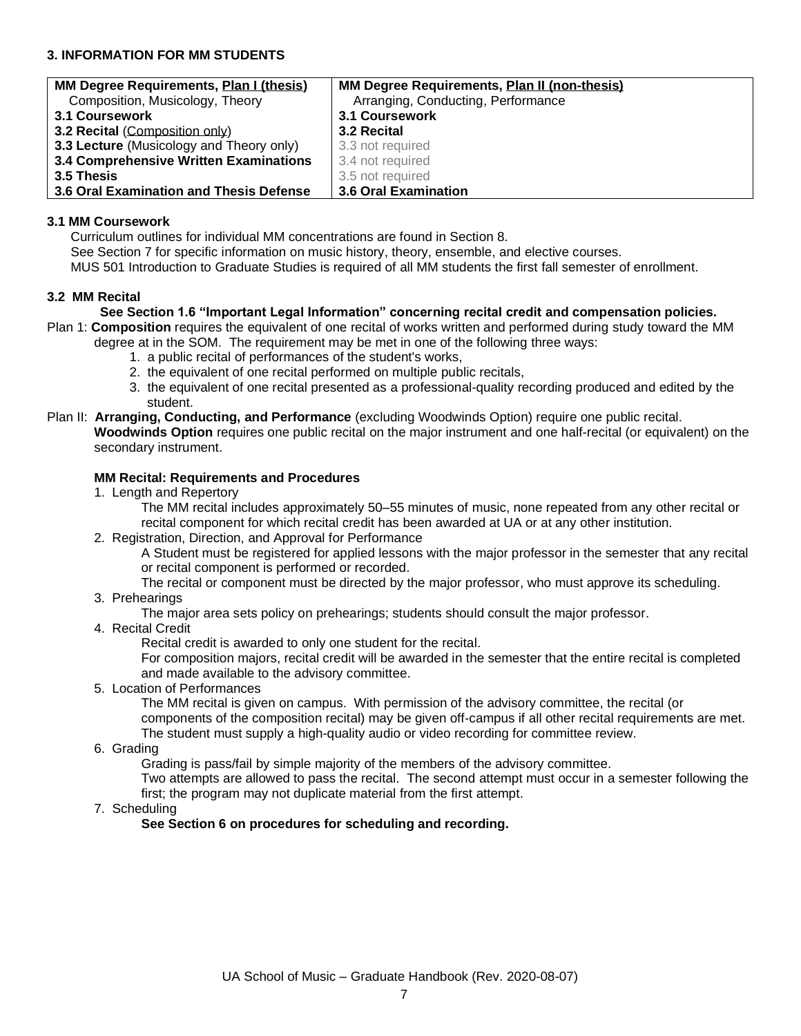## **3. INFORMATION FOR MM STUDENTS**

| MM Degree Requirements, Plan I (thesis)  | MM Degree Requirements, Plan II (non-thesis) |
|------------------------------------------|----------------------------------------------|
| Composition, Musicology, Theory          | Arranging, Conducting, Performance           |
| 3.1 Coursework                           | <b>3.1 Coursework</b>                        |
| 3.2 Recital (Composition only)           | 3.2 Recital                                  |
| 3.3 Lecture (Musicology and Theory only) | 3.3 not required                             |
| 3.4 Comprehensive Written Examinations   | 3.4 not required                             |
| <b>3.5 Thesis</b>                        | 3.5 not required                             |
| 3.6 Oral Examination and Thesis Defense  | 3.6 Oral Examination                         |

#### **3.1 MM Coursework**

Curriculum outlines for individual MM concentrations are found in Section 8.

See Section 7 for specific information on music history, theory, ensemble, and elective courses.

MUS 501 Introduction to Graduate Studies is required of all MM students the first fall semester of enrollment.

#### **3.2 MM Recital**

#### **See Section 1.6 "Important Legal Information" concerning recital credit and compensation policies.**

Plan 1: **Composition** requires the equivalent of one recital of works written and performed during study toward the MM degree at in the SOM. The requirement may be met in one of the following three ways:

- 1. a public recital of performances of the student's works,
- 2. the equivalent of one recital performed on multiple public recitals,
- 3. the equivalent of one recital presented as a professional-quality recording produced and edited by the student.
- Plan II: **Arranging, Conducting, and Performance** (excluding Woodwinds Option) require one public recital. **Woodwinds Option** requires one public recital on the major instrument and one half-recital (or equivalent) on the secondary instrument.

#### **MM Recital: Requirements and Procedures**

1. Length and Repertory

The MM recital includes approximately 50–55 minutes of music, none repeated from any other recital or recital component for which recital credit has been awarded at UA or at any other institution.

2. Registration, Direction, and Approval for Performance

A Student must be registered for applied lessons with the major professor in the semester that any recital or recital component is performed or recorded.

The recital or component must be directed by the major professor, who must approve its scheduling.

3. Prehearings

The major area sets policy on prehearings; students should consult the major professor.

4. Recital Credit

Recital credit is awarded to only one student for the recital.

For composition majors, recital credit will be awarded in the semester that the entire recital is completed and made available to the advisory committee.

5. Location of Performances

The MM recital is given on campus. With permission of the advisory committee, the recital (or components of the composition recital) may be given off-campus if all other recital requirements are met. The student must supply a high-quality audio or video recording for committee review.

6. Grading

Grading is pass/fail by simple majority of the members of the advisory committee.

Two attempts are allowed to pass the recital. The second attempt must occur in a semester following the first; the program may not duplicate material from the first attempt.

7. Scheduling

### **See Section 6 on procedures for scheduling and recording.**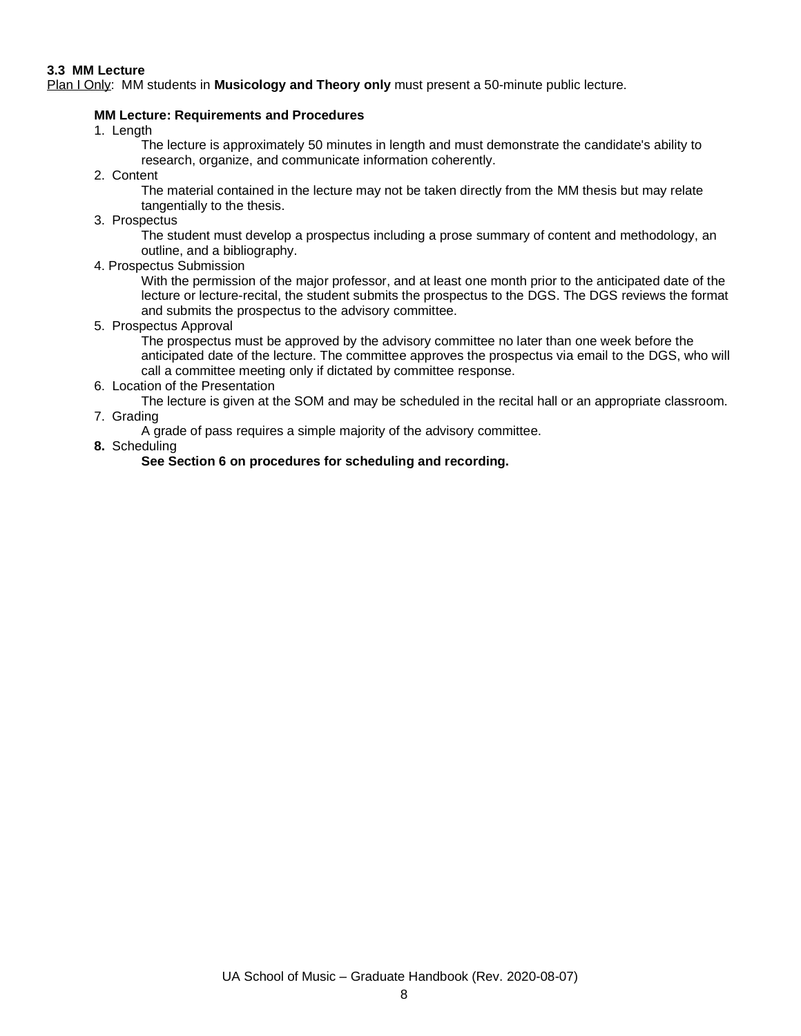#### **3.3 MM Lecture**

Plan I Only: MM students in **Musicology and Theory only** must present a 50-minute public lecture.

### **MM Lecture: Requirements and Procedures**

1. Length

The lecture is approximately 50 minutes in length and must demonstrate the candidate's ability to research, organize, and communicate information coherently.

2. Content

The material contained in the lecture may not be taken directly from the MM thesis but may relate tangentially to the thesis.

3. Prospectus

The student must develop a prospectus including a prose summary of content and methodology, an outline, and a bibliography.

4. Prospectus Submission

With the permission of the major professor, and at least one month prior to the anticipated date of the lecture or lecture-recital, the student submits the prospectus to the DGS. The DGS reviews the format and submits the prospectus to the advisory committee.

5. Prospectus Approval

The prospectus must be approved by the advisory committee no later than one week before the anticipated date of the lecture. The committee approves the prospectus via email to the DGS, who will call a committee meeting only if dictated by committee response.

6. Location of the Presentation

The lecture is given at the SOM and may be scheduled in the recital hall or an appropriate classroom.

7. Grading

A grade of pass requires a simple majority of the advisory committee.

**8.** Scheduling

### **See Section 6 on procedures for scheduling and recording.**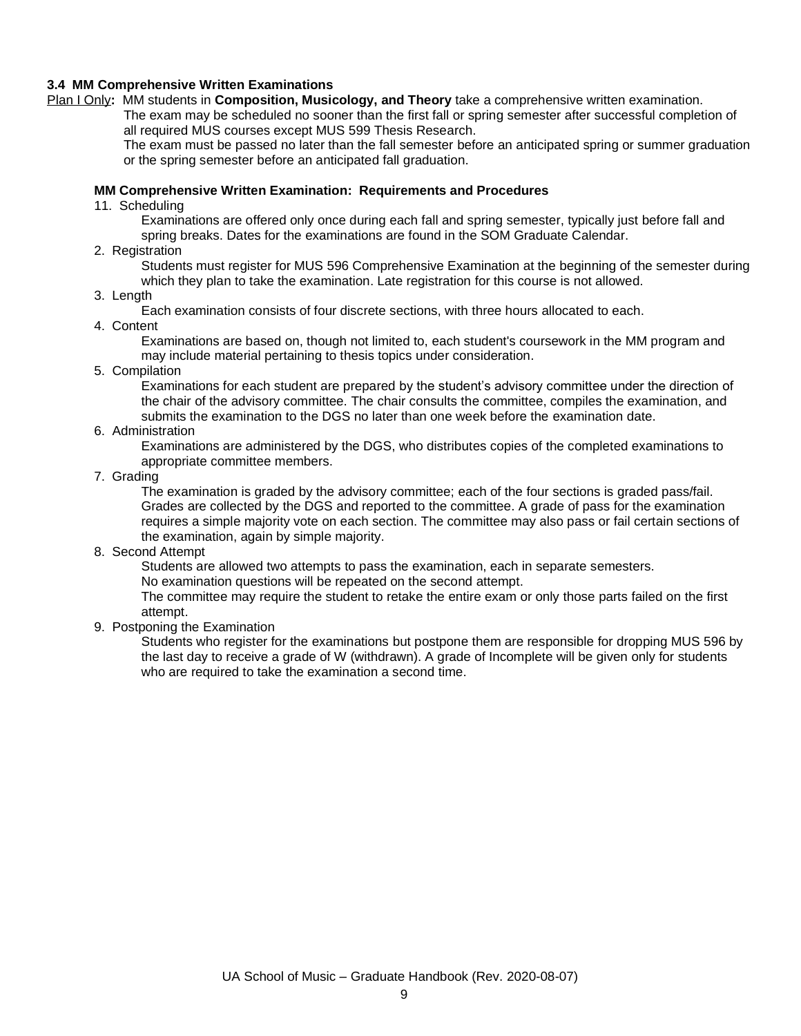#### **3.4 MM Comprehensive Written Examinations**

Plan I Only**:** MM students in **Composition, Musicology, and Theory** take a comprehensive written examination.

The exam may be scheduled no sooner than the first fall or spring semester after successful completion of all required MUS courses except MUS 599 Thesis Research.

The exam must be passed no later than the fall semester before an anticipated spring or summer graduation or the spring semester before an anticipated fall graduation.

#### **MM Comprehensive Written Examination: Requirements and Procedures**

11. Scheduling

Examinations are offered only once during each fall and spring semester, typically just before fall and spring breaks. Dates for the examinations are found in the SOM Graduate Calendar.

2. Registration

Students must register for MUS 596 Comprehensive Examination at the beginning of the semester during which they plan to take the examination. Late registration for this course is not allowed.

3. Length

Each examination consists of four discrete sections, with three hours allocated to each.

4. Content

Examinations are based on, though not limited to, each student's coursework in the MM program and may include material pertaining to thesis topics under consideration.

5. Compilation

Examinations for each student are prepared by the student's advisory committee under the direction of the chair of the advisory committee. The chair consults the committee, compiles the examination, and submits the examination to the DGS no later than one week before the examination date.

6. Administration

Examinations are administered by the DGS, who distributes copies of the completed examinations to appropriate committee members.

7. Grading

The examination is graded by the advisory committee; each of the four sections is graded pass/fail. Grades are collected by the DGS and reported to the committee. A grade of pass for the examination requires a simple majority vote on each section. The committee may also pass or fail certain sections of the examination, again by simple majority.

8. Second Attempt

Students are allowed two attempts to pass the examination, each in separate semesters.

No examination questions will be repeated on the second attempt.

The committee may require the student to retake the entire exam or only those parts failed on the first attempt.

9. Postponing the Examination

Students who register for the examinations but postpone them are responsible for dropping MUS 596 by the last day to receive a grade of W (withdrawn). A grade of Incomplete will be given only for students who are required to take the examination a second time.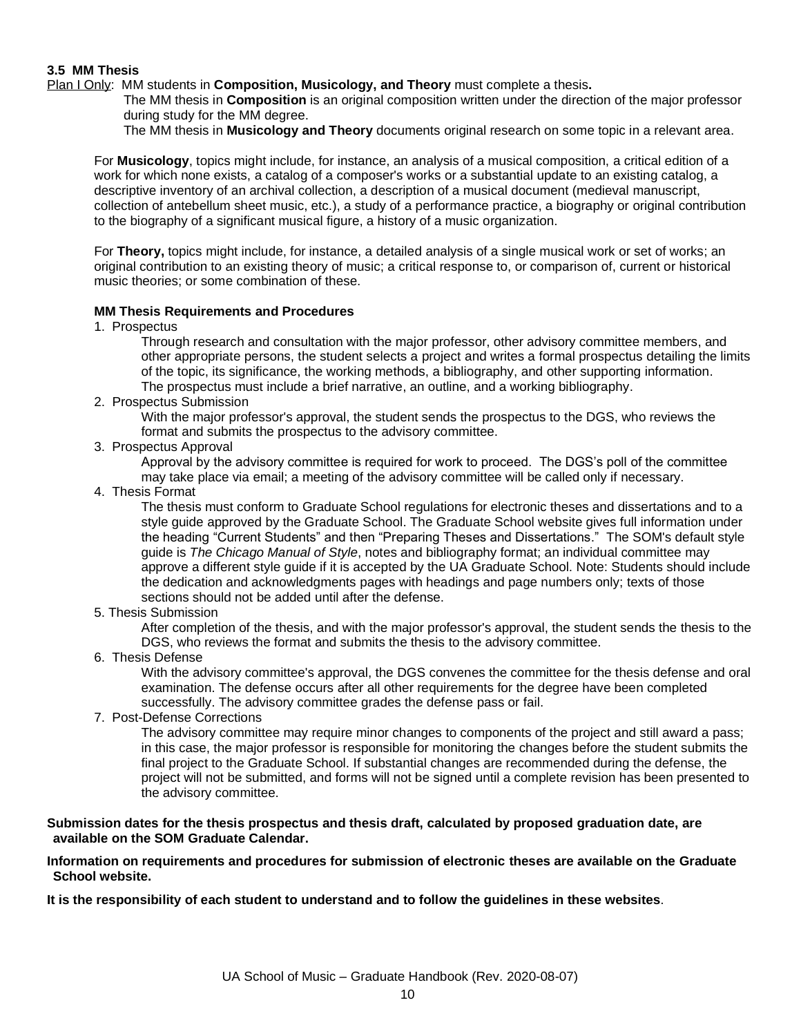### **3.5 MM Thesis**

Plan I Only: MM students in **Composition, Musicology, and Theory** must complete a thesis**.** 

The MM thesis in **Composition** is an original composition written under the direction of the major professor during study for the MM degree.

The MM thesis in **Musicology and Theory** documents original research on some topic in a relevant area.

For **Musicology**, topics might include, for instance, an analysis of a musical composition, a critical edition of a work for which none exists, a catalog of a composer's works or a substantial update to an existing catalog, a descriptive inventory of an archival collection, a description of a musical document (medieval manuscript, collection of antebellum sheet music, etc.), a study of a performance practice, a biography or original contribution to the biography of a significant musical figure, a history of a music organization.

For **Theory,** topics might include, for instance, a detailed analysis of a single musical work or set of works; an original contribution to an existing theory of music; a critical response to, or comparison of, current or historical music theories; or some combination of these.

#### **MM Thesis Requirements and Procedures**

1. Prospectus

Through research and consultation with the major professor, other advisory committee members, and other appropriate persons, the student selects a project and writes a formal prospectus detailing the limits of the topic, its significance, the working methods, a bibliography, and other supporting information. The prospectus must include a brief narrative, an outline, and a working bibliography.

2. Prospectus Submission

With the major professor's approval, the student sends the prospectus to the DGS, who reviews the format and submits the prospectus to the advisory committee.

3. Prospectus Approval

Approval by the advisory committee is required for work to proceed. The DGS's poll of the committee may take place via email; a meeting of the advisory committee will be called only if necessary.

4. Thesis Format

The thesis must conform to Graduate School regulations for electronic theses and dissertations and to a style guide approved by the Graduate School. The Graduate School website gives full information under the heading "Current Students" and then "Preparing Theses and Dissertations." The SOM's default style guide is *The Chicago Manual of Style*, notes and bibliography format; an individual committee may approve a different style guide if it is accepted by the UA Graduate School. Note: Students should include the dedication and acknowledgments pages with headings and page numbers only; texts of those sections should not be added until after the defense.

5. Thesis Submission

After completion of the thesis, and with the major professor's approval, the student sends the thesis to the DGS, who reviews the format and submits the thesis to the advisory committee.

6. Thesis Defense

With the advisory committee's approval, the DGS convenes the committee for the thesis defense and oral examination. The defense occurs after all other requirements for the degree have been completed successfully. The advisory committee grades the defense pass or fail.

7. Post-Defense Corrections

The advisory committee may require minor changes to components of the project and still award a pass; in this case, the major professor is responsible for monitoring the changes before the student submits the final project to the Graduate School. If substantial changes are recommended during the defense, the project will not be submitted, and forms will not be signed until a complete revision has been presented to the advisory committee.

#### **Submission dates for the thesis prospectus and thesis draft, calculated by proposed graduation date, are available on the SOM Graduate Calendar.**

**Information on requirements and procedures for submission of electronic theses are available on the Graduate School website.**

**It is the responsibility of each student to understand and to follow the guidelines in these websites**.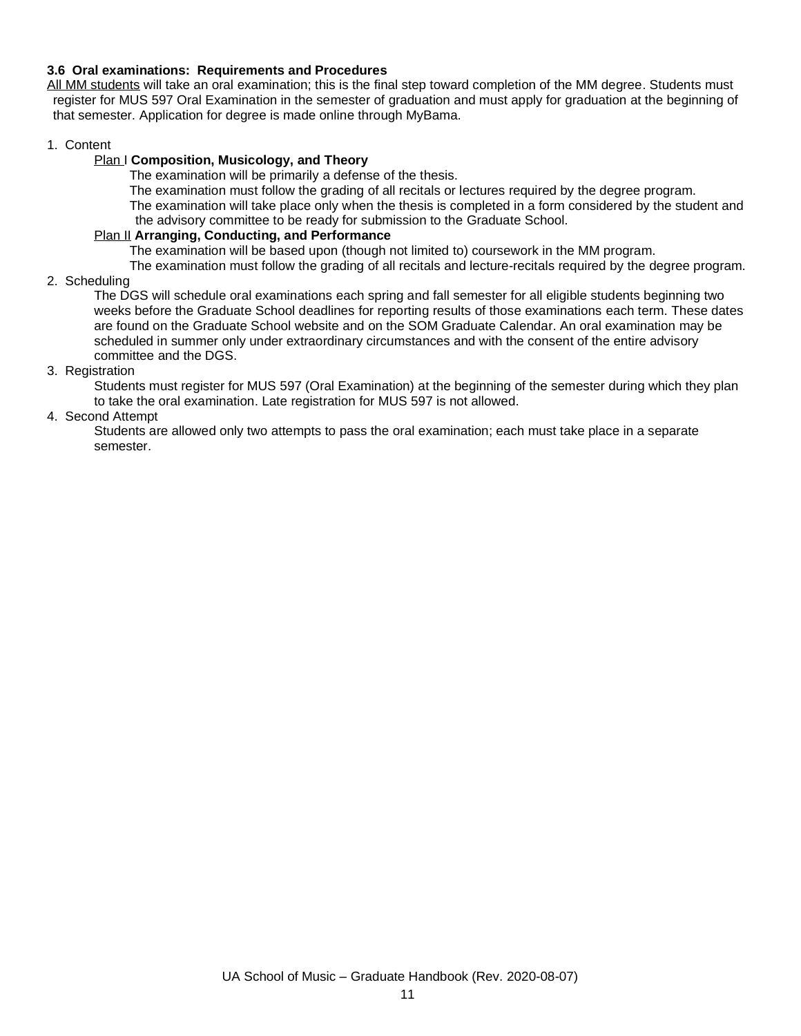### **3.6 Oral examinations: Requirements and Procedures**

All MM students will take an oral examination; this is the final step toward completion of the MM degree. Students must register for MUS 597 Oral Examination in the semester of graduation and must apply for graduation at the beginning of that semester. Application for degree is made online through MyBama.

#### 1. Content

### Plan I **Composition, Musicology, and Theory**

The examination will be primarily a defense of the thesis.

The examination must follow the grading of all recitals or lectures required by the degree program. The examination will take place only when the thesis is completed in a form considered by the student and the advisory committee to be ready for submission to the Graduate School.

#### Plan II **Arranging, Conducting, and Performance**

The examination will be based upon (though not limited to) coursework in the MM program.

The examination must follow the grading of all recitals and lecture-recitals required by the degree program.

2. Scheduling

The DGS will schedule oral examinations each spring and fall semester for all eligible students beginning two weeks before the Graduate School deadlines for reporting results of those examinations each term. These dates are found on the Graduate School website and on the SOM Graduate Calendar. An oral examination may be scheduled in summer only under extraordinary circumstances and with the consent of the entire advisory committee and the DGS.

### 3. Registration

Students must register for MUS 597 (Oral Examination) at the beginning of the semester during which they plan to take the oral examination. Late registration for MUS 597 is not allowed.

### 4. Second Attempt

Students are allowed only two attempts to pass the oral examination; each must take place in a separate semester.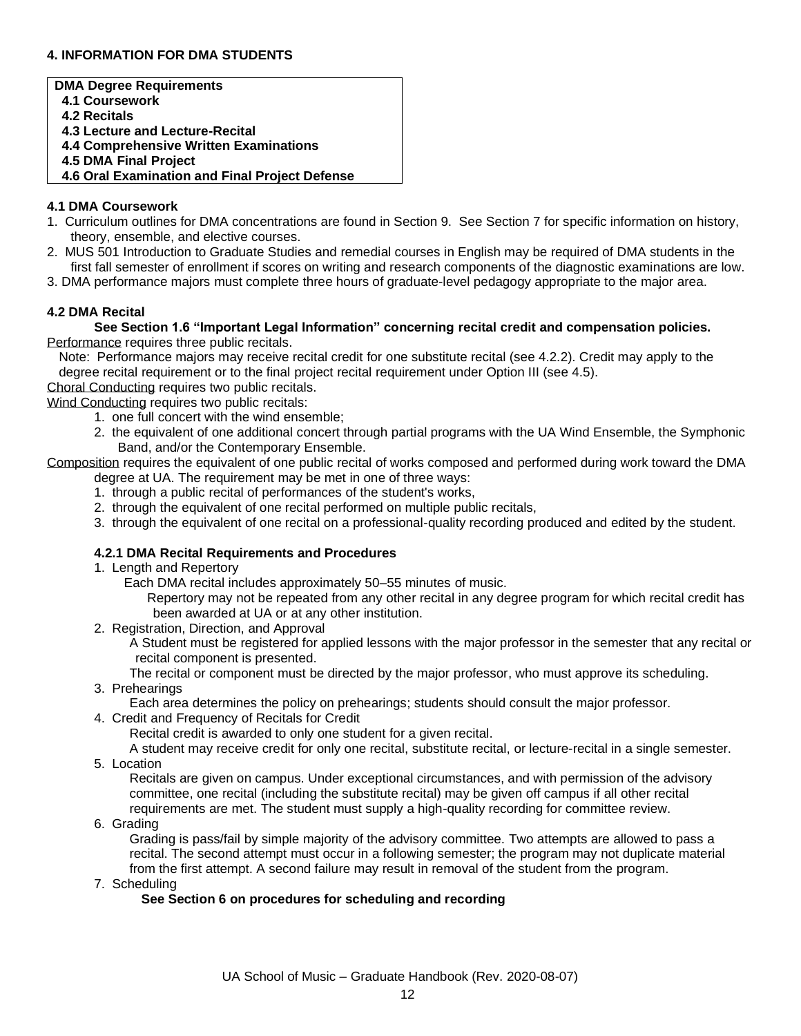## **4. INFORMATION FOR DMA STUDENTS**

### **DMA Degree Requirements 4.1 Coursework 4.2 Recitals 4.3 Lecture and Lecture-Recital 4.4 Comprehensive Written Examinations 4.5 DMA Final Project 4.6 Oral Examination and Final Project Defense**

#### **4.1 DMA Coursework**

- 1. Curriculum outlines for DMA concentrations are found in Section 9. See Section 7 for specific information on history, theory, ensemble, and elective courses.
- 2. MUS 501 Introduction to Graduate Studies and remedial courses in English may be required of DMA students in the first fall semester of enrollment if scores on writing and research components of the diagnostic examinations are low.
- 3. DMA performance majors must complete three hours of graduate-level pedagogy appropriate to the major area.

### **4.2 DMA Recital**

**See Section 1.6 "Important Legal Information" concerning recital credit and compensation policies.** Performance requires three public recitals.

Note: Performance majors may receive recital credit for one substitute recital (see 4.2.2). Credit may apply to the degree recital requirement or to the final project recital requirement under Option III (see 4.5).

Choral Conducting requires two public recitals.

Wind Conducting requires two public recitals:

- 1. one full concert with the wind ensemble;
- 2. the equivalent of one additional concert through partial programs with the UA Wind Ensemble, the Symphonic Band, and/or the Contemporary Ensemble.

Composition requires the equivalent of one public recital of works composed and performed during work toward the DMA degree at UA. The requirement may be met in one of three ways:

- 1. through a public recital of performances of the student's works,
- 2. through the equivalent of one recital performed on multiple public recitals,
- 3. through the equivalent of one recital on a professional-quality recording produced and edited by the student.

### **4.2.1 DMA Recital Requirements and Procedures**

- 1. Length and Repertory
	- Each DMA recital includes approximately 50–55 minutes of music.
		- Repertory may not be repeated from any other recital in any degree program for which recital credit has been awarded at UA or at any other institution.
- 2. Registration, Direction, and Approval
	- A Student must be registered for applied lessons with the major professor in the semester that any recital or recital component is presented.
- The recital or component must be directed by the major professor, who must approve its scheduling. 3. Prehearings
	- Each area determines the policy on prehearings; students should consult the major professor.
- 4. Credit and Frequency of Recitals for Credit

Recital credit is awarded to only one student for a given recital.

A student may receive credit for only one recital, substitute recital, or lecture-recital in a single semester.

5. Location

Recitals are given on campus. Under exceptional circumstances, and with permission of the advisory committee, one recital (including the substitute recital) may be given off campus if all other recital requirements are met. The student must supply a high-quality recording for committee review.

6. Grading

Grading is pass/fail by simple majority of the advisory committee. Two attempts are allowed to pass a recital. The second attempt must occur in a following semester; the program may not duplicate material from the first attempt. A second failure may result in removal of the student from the program.

7. Scheduling

### **See Section 6 on procedures for scheduling and recording**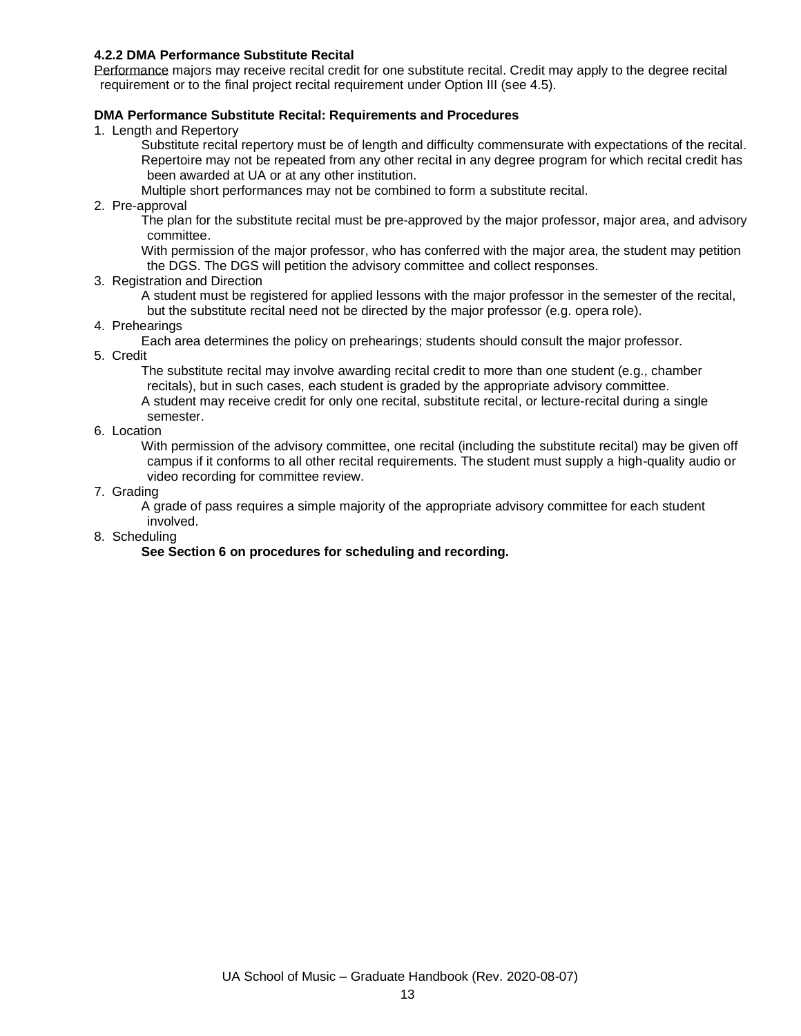#### **4.2.2 DMA Performance Substitute Recital**

Performance majors may receive recital credit for one substitute recital. Credit may apply to the degree recital requirement or to the final project recital requirement under Option III (see 4.5).

## **DMA Performance Substitute Recital: Requirements and Procedures**

1. Length and Repertory

Substitute recital repertory must be of length and difficulty commensurate with expectations of the recital. Repertoire may not be repeated from any other recital in any degree program for which recital credit has been awarded at UA or at any other institution.

Multiple short performances may not be combined to form a substitute recital.

2. Pre-approval

The plan for the substitute recital must be pre-approved by the major professor, major area, and advisory committee.

With permission of the major professor, who has conferred with the major area, the student may petition the DGS. The DGS will petition the advisory committee and collect responses.

3. Registration and Direction

A student must be registered for applied lessons with the major professor in the semester of the recital, but the substitute recital need not be directed by the major professor (e.g. opera role).

4. Prehearings

Each area determines the policy on prehearings; students should consult the major professor.

5. Credit

The substitute recital may involve awarding recital credit to more than one student (e.g., chamber recitals), but in such cases, each student is graded by the appropriate advisory committee. A student may receive credit for only one recital, substitute recital, or lecture-recital during a single semester.

6. Location

With permission of the advisory committee, one recital (including the substitute recital) may be given off campus if it conforms to all other recital requirements. The student must supply a high-quality audio or video recording for committee review.

7. Grading

A grade of pass requires a simple majority of the appropriate advisory committee for each student involved.

8. Scheduling

#### **See Section 6 on procedures for scheduling and recording.**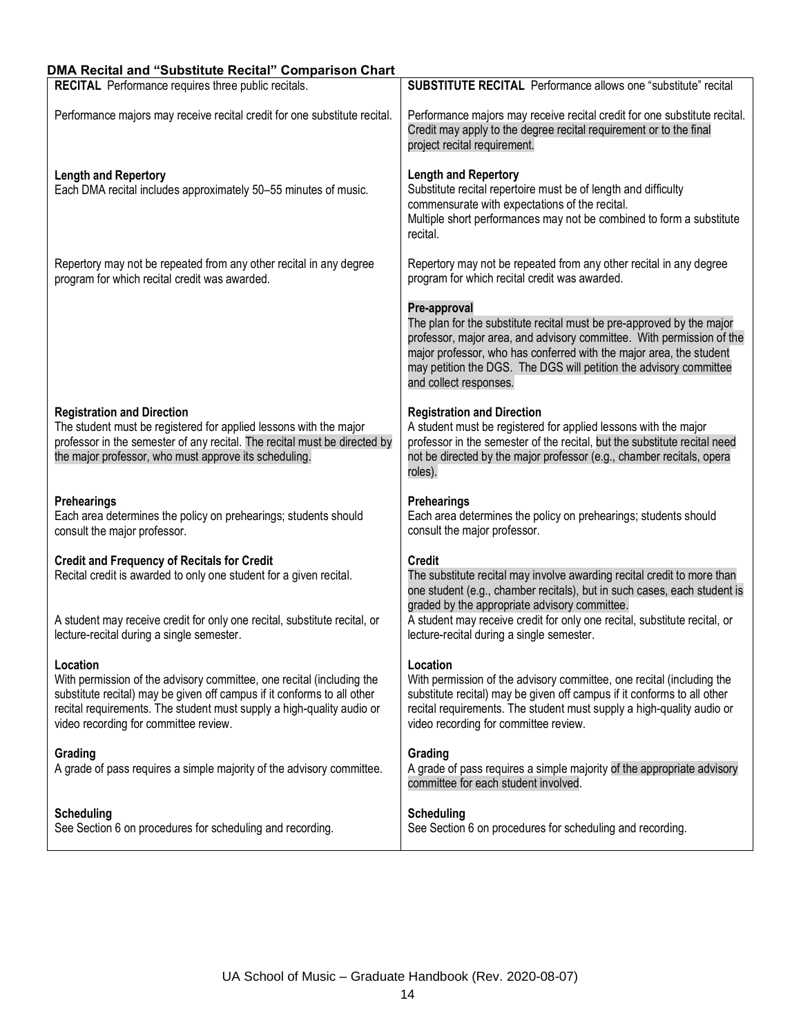## **DMA Recital and "Substitute Recital" Comparison Chart**

| RECITAL Performance requires three public recitals.                                                                                                                                                                                                                            | <b>SUBSTITUTE RECITAL</b> Performance allows one "substitute" recital                                                                                                                                                                                                                                                                 |
|--------------------------------------------------------------------------------------------------------------------------------------------------------------------------------------------------------------------------------------------------------------------------------|---------------------------------------------------------------------------------------------------------------------------------------------------------------------------------------------------------------------------------------------------------------------------------------------------------------------------------------|
| Performance majors may receive recital credit for one substitute recital.                                                                                                                                                                                                      | Performance majors may receive recital credit for one substitute recital.<br>Credit may apply to the degree recital requirement or to the final<br>project recital requirement.                                                                                                                                                       |
| <b>Length and Repertory</b><br>Each DMA recital includes approximately 50-55 minutes of music.                                                                                                                                                                                 | <b>Length and Repertory</b><br>Substitute recital repertoire must be of length and difficulty<br>commensurate with expectations of the recital.<br>Multiple short performances may not be combined to form a substitute<br>recital.                                                                                                   |
| Repertory may not be repeated from any other recital in any degree<br>program for which recital credit was awarded.                                                                                                                                                            | Repertory may not be repeated from any other recital in any degree<br>program for which recital credit was awarded.                                                                                                                                                                                                                   |
|                                                                                                                                                                                                                                                                                | Pre-approval<br>The plan for the substitute recital must be pre-approved by the major<br>professor, major area, and advisory committee. With permission of the<br>major professor, who has conferred with the major area, the student<br>may petition the DGS. The DGS will petition the advisory committee<br>and collect responses. |
| <b>Registration and Direction</b><br>The student must be registered for applied lessons with the major<br>professor in the semester of any recital. The recital must be directed by<br>the major professor, who must approve its scheduling.                                   | <b>Registration and Direction</b><br>A student must be registered for applied lessons with the major<br>professor in the semester of the recital, but the substitute recital need<br>not be directed by the major professor (e.g., chamber recitals, opera<br>roles).                                                                 |
| <b>Prehearings</b><br>Each area determines the policy on prehearings; students should<br>consult the major professor.                                                                                                                                                          | <b>Prehearings</b><br>Each area determines the policy on prehearings; students should<br>consult the major professor.                                                                                                                                                                                                                 |
| <b>Credit and Frequency of Recitals for Credit</b><br>Recital credit is awarded to only one student for a given recital.                                                                                                                                                       | <b>Credit</b><br>The substitute recital may involve awarding recital credit to more than<br>one student (e.g., chamber recitals), but in such cases, each student is                                                                                                                                                                  |
| A student may receive credit for only one recital, substitute recital, or<br>lecture-recital during a single semester.                                                                                                                                                         | graded by the appropriate advisory committee.<br>A student may receive credit for only one recital, substitute recital, or<br>lecture-recital during a single semester.                                                                                                                                                               |
| Location<br>With permission of the advisory committee, one recital (including the<br>substitute recital) may be given off campus if it conforms to all other<br>recital requirements. The student must supply a high-quality audio or<br>video recording for committee review. | Location<br>With permission of the advisory committee, one recital (including the<br>substitute recital) may be given off campus if it conforms to all other<br>recital requirements. The student must supply a high-quality audio or<br>video recording for committee review.                                                        |
| Grading<br>A grade of pass requires a simple majority of the advisory committee.                                                                                                                                                                                               | Grading<br>A grade of pass requires a simple majority of the appropriate advisory<br>committee for each student involved.                                                                                                                                                                                                             |
| <b>Scheduling</b><br>See Section 6 on procedures for scheduling and recording.                                                                                                                                                                                                 | <b>Scheduling</b><br>See Section 6 on procedures for scheduling and recording.                                                                                                                                                                                                                                                        |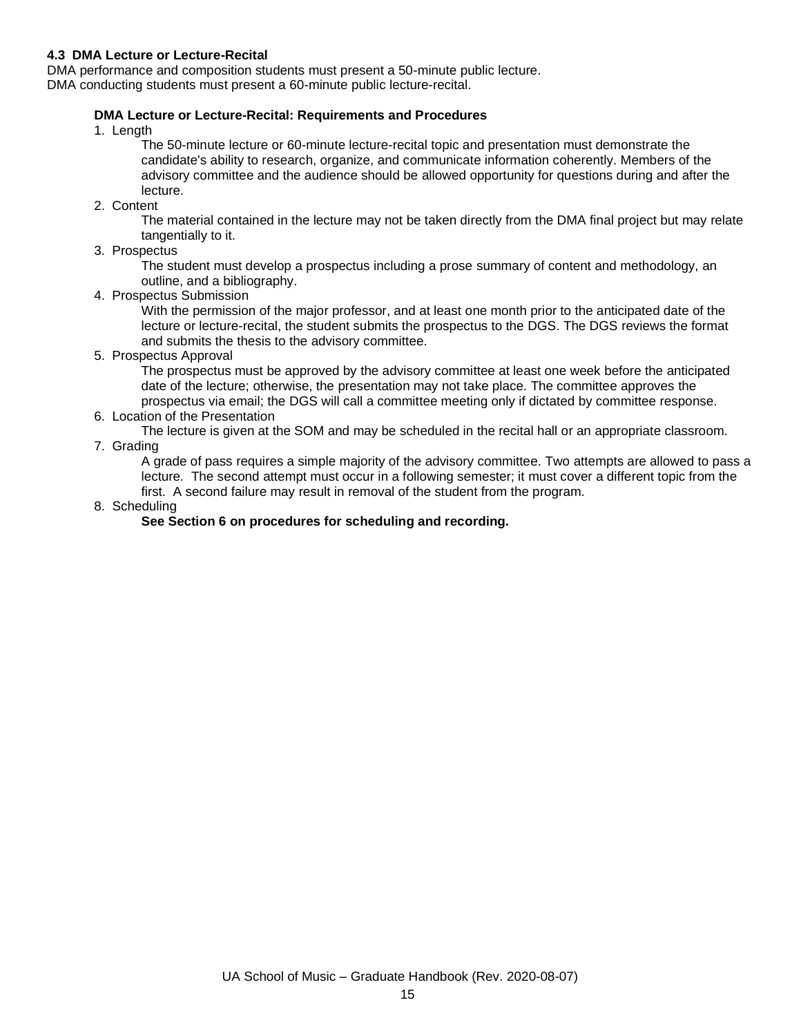## **4.3 DMA Lecture or Lecture-Recital**

DMA performance and composition students must present a 50-minute public lecture.

DMA conducting students must present a 60-minute public lecture-recital.

## **DMA Lecture or Lecture-Recital: Requirements and Procedures**

1. Length

The 50-minute lecture or 60-minute lecture-recital topic and presentation must demonstrate the candidate's ability to research, organize, and communicate information coherently. Members of the advisory committee and the audience should be allowed opportunity for questions during and after the lecture.

2. Content

The material contained in the lecture may not be taken directly from the DMA final project but may relate tangentially to it.

3. Prospectus

The student must develop a prospectus including a prose summary of content and methodology, an outline, and a bibliography.

4. Prospectus Submission

With the permission of the major professor, and at least one month prior to the anticipated date of the lecture or lecture-recital, the student submits the prospectus to the DGS. The DGS reviews the format and submits the thesis to the advisory committee.

5. Prospectus Approval

The prospectus must be approved by the advisory committee at least one week before the anticipated date of the lecture; otherwise, the presentation may not take place. The committee approves the prospectus via email; the DGS will call a committee meeting only if dictated by committee response.

6. Location of the Presentation

The lecture is given at the SOM and may be scheduled in the recital hall or an appropriate classroom. 7. Grading

A grade of pass requires a simple majority of the advisory committee. Two attempts are allowed to pass a lecture. The second attempt must occur in a following semester; it must cover a different topic from the first. A second failure may result in removal of the student from the program.

8. Scheduling

#### **See Section 6 on procedures for scheduling and recording.**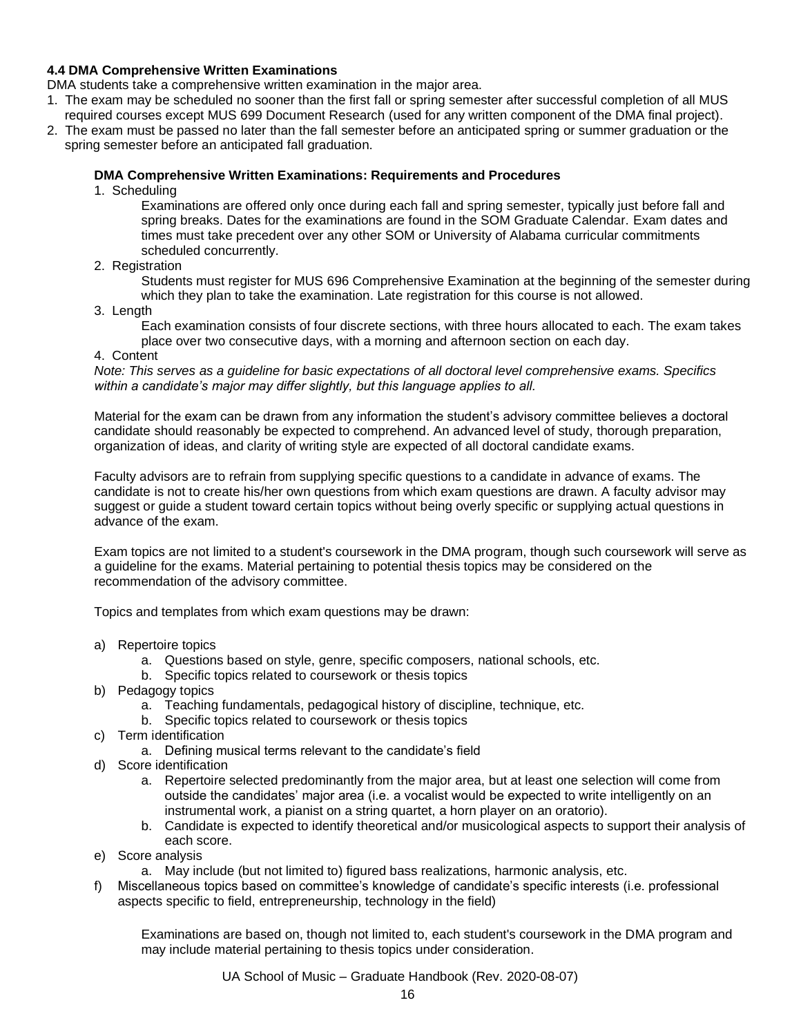## **4.4 DMA Comprehensive Written Examinations**

DMA students take a comprehensive written examination in the major area.

- 1. The exam may be scheduled no sooner than the first fall or spring semester after successful completion of all MUS required courses except MUS 699 Document Research (used for any written component of the DMA final project).
- 2. The exam must be passed no later than the fall semester before an anticipated spring or summer graduation or the spring semester before an anticipated fall graduation.

### **DMA Comprehensive Written Examinations: Requirements and Procedures**

1. Scheduling

Examinations are offered only once during each fall and spring semester, typically just before fall and spring breaks. Dates for the examinations are found in the SOM Graduate Calendar. Exam dates and times must take precedent over any other SOM or University of Alabama curricular commitments scheduled concurrently.

2. Registration

Students must register for MUS 696 Comprehensive Examination at the beginning of the semester during which they plan to take the examination. Late registration for this course is not allowed.

3. Length

Each examination consists of four discrete sections, with three hours allocated to each. The exam takes place over two consecutive days, with a morning and afternoon section on each day.

4. Content

*Note: This serves as a guideline for basic expectations of all doctoral level comprehensive exams. Specifics within a candidate's major may differ slightly, but this language applies to all.*

Material for the exam can be drawn from any information the student's advisory committee believes a doctoral candidate should reasonably be expected to comprehend. An advanced level of study, thorough preparation, organization of ideas, and clarity of writing style are expected of all doctoral candidate exams.

Faculty advisors are to refrain from supplying specific questions to a candidate in advance of exams. The candidate is not to create his/her own questions from which exam questions are drawn. A faculty advisor may suggest or guide a student toward certain topics without being overly specific or supplying actual questions in advance of the exam.

Exam topics are not limited to a student's coursework in the DMA program, though such coursework will serve as a guideline for the exams. Material pertaining to potential thesis topics may be considered on the recommendation of the advisory committee.

Topics and templates from which exam questions may be drawn:

- a) Repertoire topics
	- a. Questions based on style, genre, specific composers, national schools, etc.
	- b. Specific topics related to coursework or thesis topics
- b) Pedagogy topics
	- a. Teaching fundamentals, pedagogical history of discipline, technique, etc.
	- b. Specific topics related to coursework or thesis topics
- c) Term identification
	- a. Defining musical terms relevant to the candidate's field
- d) Score identification
	- a. Repertoire selected predominantly from the major area, but at least one selection will come from outside the candidates' major area (i.e. a vocalist would be expected to write intelligently on an instrumental work, a pianist on a string quartet, a horn player on an oratorio).
	- b. Candidate is expected to identify theoretical and/or musicological aspects to support their analysis of each score.
- e) Score analysis
	- a. May include (but not limited to) figured bass realizations, harmonic analysis, etc.
- f) Miscellaneous topics based on committee's knowledge of candidate's specific interests (i.e. professional aspects specific to field, entrepreneurship, technology in the field)

Examinations are based on, though not limited to, each student's coursework in the DMA program and may include material pertaining to thesis topics under consideration.

UA School of Music – Graduate Handbook (Rev. 2020-08-07)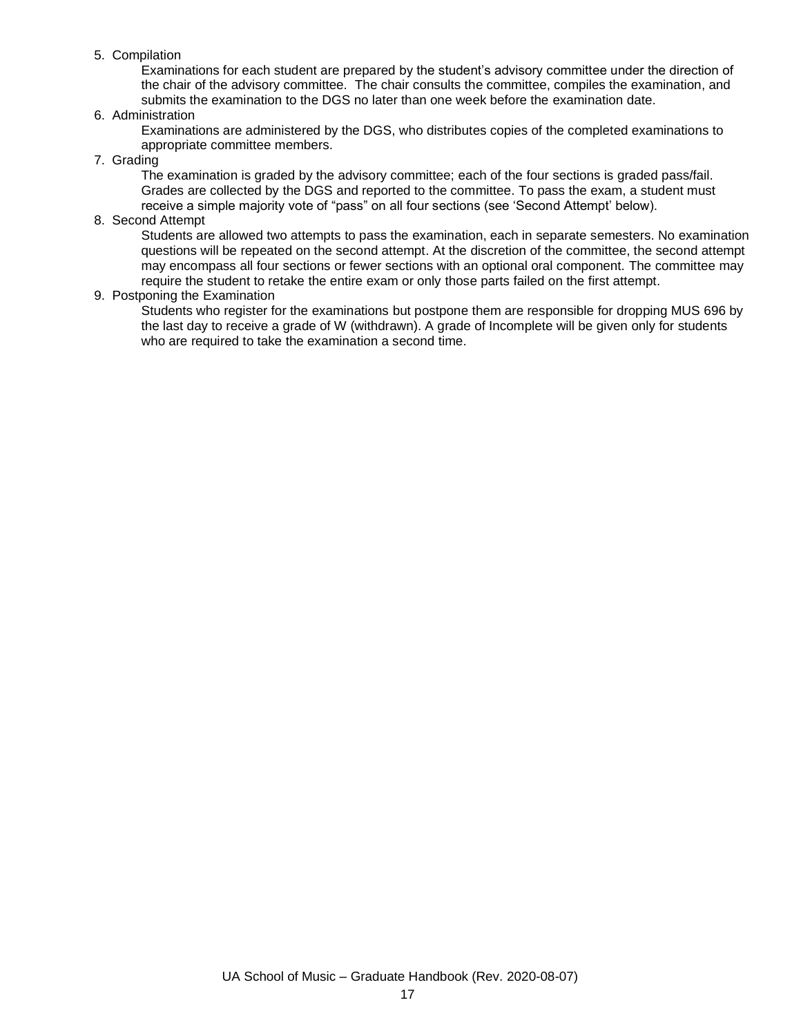### 5. Compilation

Examinations for each student are prepared by the student's advisory committee under the direction of the chair of the advisory committee. The chair consults the committee, compiles the examination, and submits the examination to the DGS no later than one week before the examination date.

### 6. Administration

Examinations are administered by the DGS, who distributes copies of the completed examinations to appropriate committee members.

#### 7. Grading

The examination is graded by the advisory committee; each of the four sections is graded pass/fail. Grades are collected by the DGS and reported to the committee. To pass the exam, a student must receive a simple majority vote of "pass" on all four sections (see 'Second Attempt' below).

#### 8. Second Attempt

Students are allowed two attempts to pass the examination, each in separate semesters. No examination questions will be repeated on the second attempt. At the discretion of the committee, the second attempt may encompass all four sections or fewer sections with an optional oral component. The committee may require the student to retake the entire exam or only those parts failed on the first attempt.

### 9. Postponing the Examination

Students who register for the examinations but postpone them are responsible for dropping MUS 696 by the last day to receive a grade of W (withdrawn). A grade of Incomplete will be given only for students who are required to take the examination a second time.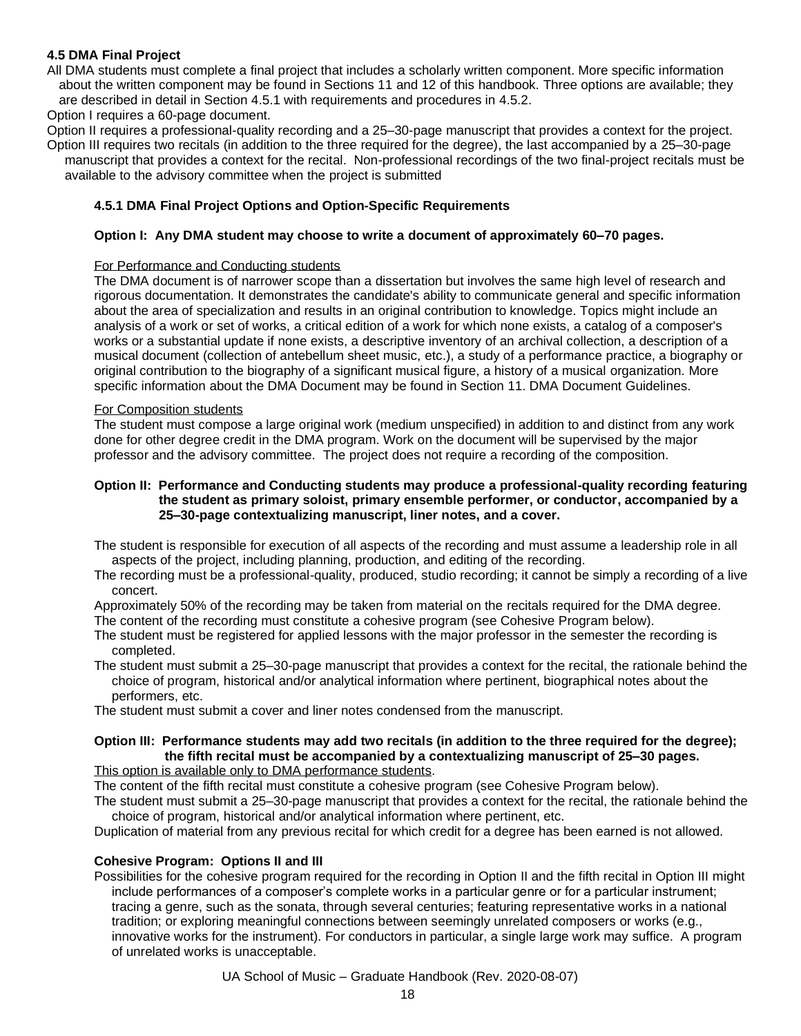## **4.5 DMA Final Project**

All DMA students must complete a final project that includes a scholarly written component. More specific information about the written component may be found in Sections 11 and 12 of this handbook. Three options are available; they are described in detail in Section 4.5.1 with requirements and procedures in 4.5.2.

Option I requires a 60-page document.

Option II requires a professional-quality recording and a 25–30-page manuscript that provides a context for the project. Option III requires two recitals (in addition to the three required for the degree), the last accompanied by a 25–30-page manuscript that provides a context for the recital. Non-professional recordings of the two final-project recitals must be available to the advisory committee when the project is submitted

## **4.5.1 DMA Final Project Options and Option-Specific Requirements**

#### **Option I: Any DMA student may choose to write a document of approximately 60–70 pages.**

#### For Performance and Conducting students

The DMA document is of narrower scope than a dissertation but involves the same high level of research and rigorous documentation. It demonstrates the candidate's ability to communicate general and specific information about the area of specialization and results in an original contribution to knowledge. Topics might include an analysis of a work or set of works, a critical edition of a work for which none exists, a catalog of a composer's works or a substantial update if none exists, a descriptive inventory of an archival collection, a description of a musical document (collection of antebellum sheet music, etc.), a study of a performance practice, a biography or original contribution to the biography of a significant musical figure, a history of a musical organization. More specific information about the DMA Document may be found in Section 11. DMA Document Guidelines.

#### For Composition students

The student must compose a large original work (medium unspecified) in addition to and distinct from any work done for other degree credit in the DMA program. Work on the document will be supervised by the major professor and the advisory committee. The project does not require a recording of the composition.

#### **Option II: Performance and Conducting students may produce a professional-quality recording featuring the student as primary soloist, primary ensemble performer, or conductor, accompanied by a 25–30-page contextualizing manuscript, liner notes, and a cover.**

The student is responsible for execution of all aspects of the recording and must assume a leadership role in all aspects of the project, including planning, production, and editing of the recording.

The recording must be a professional-quality, produced, studio recording; it cannot be simply a recording of a live concert.

Approximately 50% of the recording may be taken from material on the recitals required for the DMA degree. The content of the recording must constitute a cohesive program (see Cohesive Program below).

- The student must be registered for applied lessons with the major professor in the semester the recording is completed.
- The student must submit a 25–30-page manuscript that provides a context for the recital, the rationale behind the choice of program, historical and/or analytical information where pertinent, biographical notes about the performers, etc.

The student must submit a cover and liner notes condensed from the manuscript.

## **Option III: Performance students may add two recitals (in addition to the three required for the degree); the fifth recital must be accompanied by a contextualizing manuscript of 25–30 pages.**

This option is available only to DMA performance students.

The content of the fifth recital must constitute a cohesive program (see Cohesive Program below).

The student must submit a 25–30-page manuscript that provides a context for the recital, the rationale behind the choice of program, historical and/or analytical information where pertinent, etc.

Duplication of material from any previous recital for which credit for a degree has been earned is not allowed.

#### **Cohesive Program: Options II and III**

Possibilities for the cohesive program required for the recording in Option II and the fifth recital in Option III might include performances of a composer's complete works in a particular genre or for a particular instrument; tracing a genre, such as the sonata, through several centuries; featuring representative works in a national tradition; or exploring meaningful connections between seemingly unrelated composers or works (e.g., innovative works for the instrument). For conductors in particular, a single large work may suffice. A program of unrelated works is unacceptable.

UA School of Music – Graduate Handbook (Rev. 2020-08-07)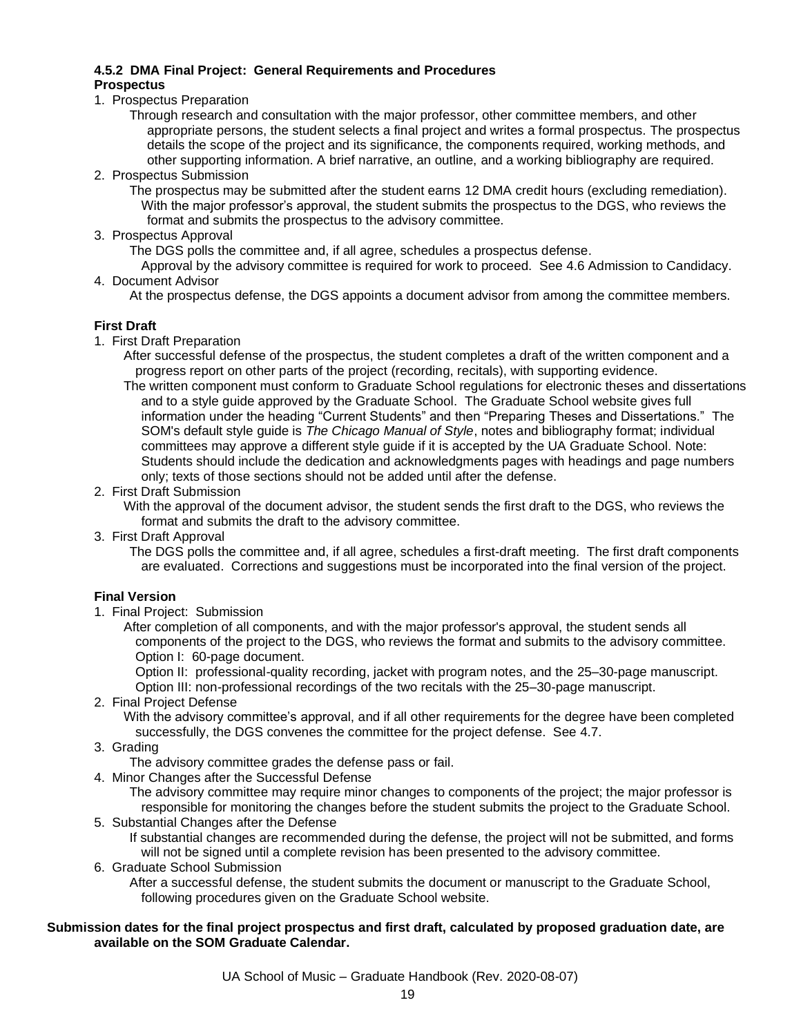#### **4.5.2 DMA Final Project: General Requirements and Procedures Prospectus**

- 1. Prospectus Preparation
	- Through research and consultation with the major professor, other committee members, and other appropriate persons, the student selects a final project and writes a formal prospectus. The prospectus details the scope of the project and its significance, the components required, working methods, and other supporting information. A brief narrative, an outline, and a working bibliography are required.
- 2. Prospectus Submission

The prospectus may be submitted after the student earns 12 DMA credit hours (excluding remediation). With the major professor's approval, the student submits the prospectus to the DGS, who reviews the format and submits the prospectus to the advisory committee.

3. Prospectus Approval

The DGS polls the committee and, if all agree, schedules a prospectus defense.

Approval by the advisory committee is required for work to proceed. See 4.6 Admission to Candidacy. 4. Document Advisor

At the prospectus defense, the DGS appoints a document advisor from among the committee members.

### **First Draft**

1. First Draft Preparation

After successful defense of the prospectus, the student completes a draft of the written component and a progress report on other parts of the project (recording, recitals), with supporting evidence.

- The written component must conform to Graduate School regulations for electronic theses and dissertations and to a style guide approved by the Graduate School. The Graduate School website gives full information under the heading "Current Students" and then "Preparing Theses and Dissertations." The SOM's default style guide is *The Chicago Manual of Style*, notes and bibliography format; individual committees may approve a different style guide if it is accepted by the UA Graduate School. Note: Students should include the dedication and acknowledgments pages with headings and page numbers only; texts of those sections should not be added until after the defense.
- 2. First Draft Submission

With the approval of the document advisor, the student sends the first draft to the DGS, who reviews the format and submits the draft to the advisory committee.

3. First Draft Approval

The DGS polls the committee and, if all agree, schedules a first-draft meeting. The first draft components are evaluated. Corrections and suggestions must be incorporated into the final version of the project.

## **Final Version**

1. Final Project: Submission

After completion of all components, and with the major professor's approval, the student sends all components of the project to the DGS, who reviews the format and submits to the advisory committee. Option I: 60-page document.

Option II: professional-quality recording, jacket with program notes, and the 25–30-page manuscript. Option III: non-professional recordings of the two recitals with the 25–30-page manuscript.

2. Final Project Defense

With the advisory committee's approval, and if all other requirements for the degree have been completed successfully, the DGS convenes the committee for the project defense. See 4.7.

3.Grading

The advisory committee grades the defense pass or fail.

4. Minor Changes after the Successful Defense

The advisory committee may require minor changes to components of the project; the major professor is responsible for monitoring the changes before the student submits the project to the Graduate School.

5. Substantial Changes after the Defense

If substantial changes are recommended during the defense, the project will not be submitted, and forms will not be signed until a complete revision has been presented to the advisory committee.

6. Graduate School Submission

After a successful defense, the student submits the document or manuscript to the Graduate School, following procedures given on the Graduate School website.

## **Submission dates for the final project prospectus and first draft, calculated by proposed graduation date, are available on the SOM Graduate Calendar.**

UA School of Music – Graduate Handbook (Rev. 2020-08-07)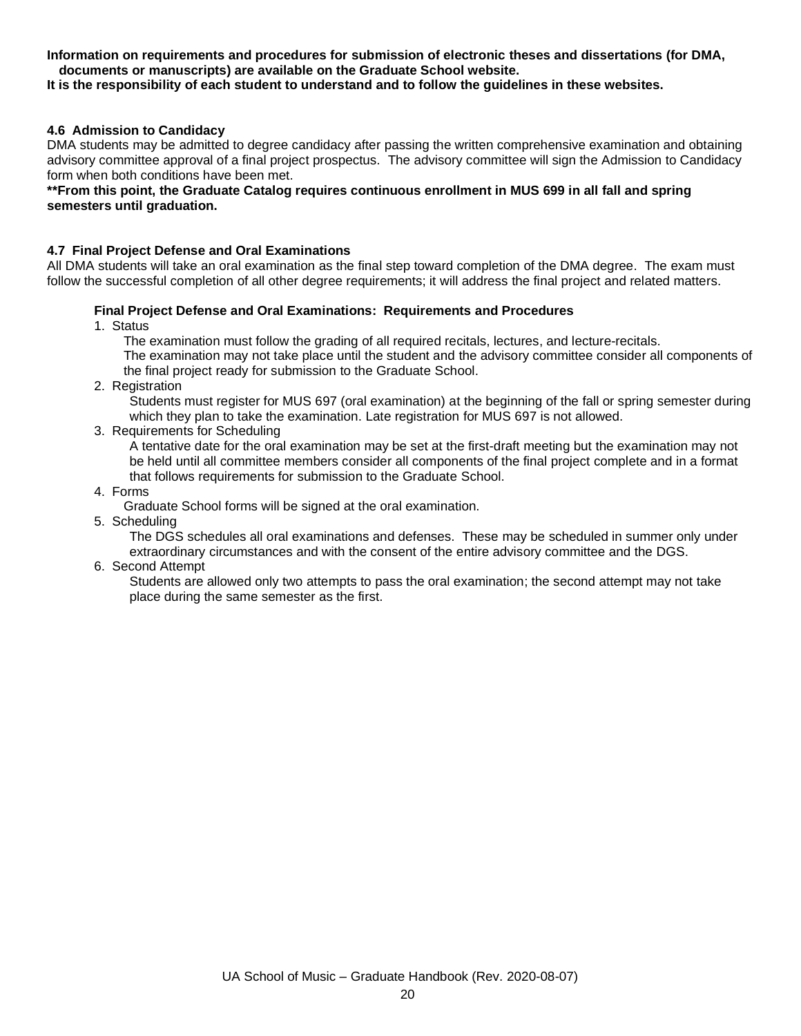#### **Information on requirements and procedures for submission of electronic theses and dissertations (for DMA, documents or manuscripts) are available on the Graduate School website.**

### **It is the responsibility of each student to understand and to follow the guidelines in these websites.**

### **4.6 Admission to Candidacy**

DMA students may be admitted to degree candidacy after passing the written comprehensive examination and obtaining advisory committee approval of a final project prospectus. The advisory committee will sign the Admission to Candidacy form when both conditions have been met.

#### **\*\*From this point, the Graduate Catalog requires continuous enrollment in MUS 699 in all fall and spring semesters until graduation.**

#### **4.7 Final Project Defense and Oral Examinations**

All DMA students will take an oral examination as the final step toward completion of the DMA degree. The exam must follow the successful completion of all other degree requirements; it will address the final project and related matters.

#### **Final Project Defense and Oral Examinations: Requirements and Procedures**

1. Status

The examination must follow the grading of all required recitals, lectures, and lecture-recitals. The examination may not take place until the student and the advisory committee consider all components of

the final project ready for submission to the Graduate School.

2. Registration

Students must register for MUS 697 (oral examination) at the beginning of the fall or spring semester during which they plan to take the examination. Late registration for MUS 697 is not allowed.

3. Requirements for Scheduling

A tentative date for the oral examination may be set at the first-draft meeting but the examination may not be held until all committee members consider all components of the final project complete and in a format that follows requirements for submission to the Graduate School.

4. Forms

Graduate School forms will be signed at the oral examination.

5. Scheduling

The DGS schedules all oral examinations and defenses. These may be scheduled in summer only under extraordinary circumstances and with the consent of the entire advisory committee and the DGS.

6. Second Attempt

Students are allowed only two attempts to pass the oral examination; the second attempt may not take place during the same semester as the first.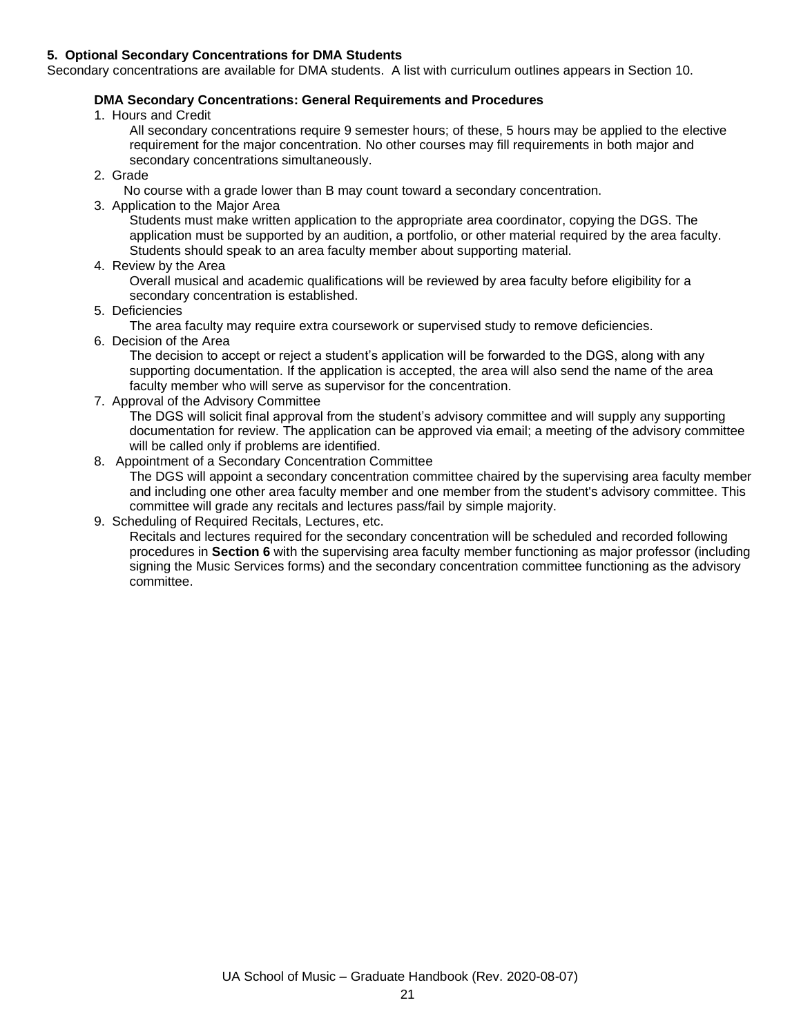### **5. Optional Secondary Concentrations for DMA Students**

Secondary concentrations are available for DMA students. A list with curriculum outlines appears in Section 10.

## **DMA Secondary Concentrations: General Requirements and Procedures**

- 1. Hours and Credit
	- All secondary concentrations require 9 semester hours; of these, 5 hours may be applied to the elective requirement for the major concentration. No other courses may fill requirements in both major and secondary concentrations simultaneously.
- 2. Grade
	- No course with a grade lower than B may count toward a secondary concentration.
- 3. Application to the Major Area
	- Students must make written application to the appropriate area coordinator, copying the DGS. The application must be supported by an audition, a portfolio, or other material required by the area faculty. Students should speak to an area faculty member about supporting material.
- 4. Review by the Area
	- Overall musical and academic qualifications will be reviewed by area faculty before eligibility for a secondary concentration is established.
- 5. Deficiencies
	- The area faculty may require extra coursework or supervised study to remove deficiencies.
- 6. Decision of the Area

The decision to accept or reject a student's application will be forwarded to the DGS, along with any supporting documentation. If the application is accepted, the area will also send the name of the area faculty member who will serve as supervisor for the concentration.

7. Approval of the Advisory Committee

The DGS will solicit final approval from the student's advisory committee and will supply any supporting documentation for review. The application can be approved via email; a meeting of the advisory committee will be called only if problems are identified.

### 8. Appointment of a Secondary Concentration Committee

The DGS will appoint a secondary concentration committee chaired by the supervising area faculty member and including one other area faculty member and one member from the student's advisory committee. This committee will grade any recitals and lectures pass/fail by simple majority.

9. Scheduling of Required Recitals, Lectures, etc.

Recitals and lectures required for the secondary concentration will be scheduled and recorded following procedures in **Section 6** with the supervising area faculty member functioning as major professor (including signing the Music Services forms) and the secondary concentration committee functioning as the advisory committee.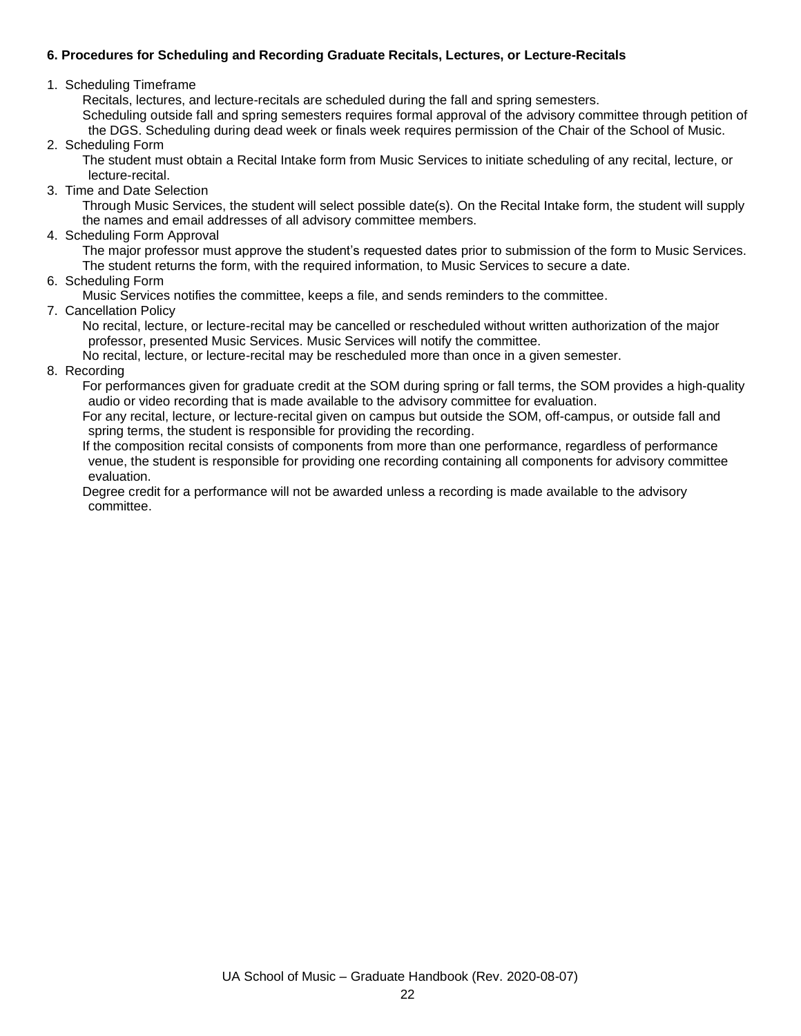## **6. Procedures for Scheduling and Recording Graduate Recitals, Lectures, or Lecture-Recitals**

## 1. Scheduling Timeframe

Recitals, lectures, and lecture-recitals are scheduled during the fall and spring semesters. Scheduling outside fall and spring semesters requires formal approval of the advisory committee through petition of the DGS. Scheduling during dead week or finals week requires permission of the Chair of the School of Music.

2. Scheduling Form

The student must obtain a Recital Intake form from Music Services to initiate scheduling of any recital, lecture, or lecture-recital.

3. Time and Date Selection

Through Music Services, the student will select possible date(s). On the Recital Intake form, the student will supply the names and email addresses of all advisory committee members.

4. Scheduling Form Approval

The major professor must approve the student's requested dates prior to submission of the form to Music Services. The student returns the form, with the required information, to Music Services to secure a date.

6. Scheduling Form

Music Services notifies the committee, keeps a file, and sends reminders to the committee.

7. Cancellation Policy

No recital, lecture, or lecture-recital may be cancelled or rescheduled without written authorization of the major professor, presented Music Services. Music Services will notify the committee.

No recital, lecture, or lecture-recital may be rescheduled more than once in a given semester.

8. Recording

For performances given for graduate credit at the SOM during spring or fall terms, the SOM provides a high-quality audio or video recording that is made available to the advisory committee for evaluation.

For any recital, lecture, or lecture-recital given on campus but outside the SOM, off-campus, or outside fall and spring terms, the student is responsible for providing the recording.

If the composition recital consists of components from more than one performance, regardless of performance venue, the student is responsible for providing one recording containing all components for advisory committee evaluation.

Degree credit for a performance will not be awarded unless a recording is made available to the advisory committee.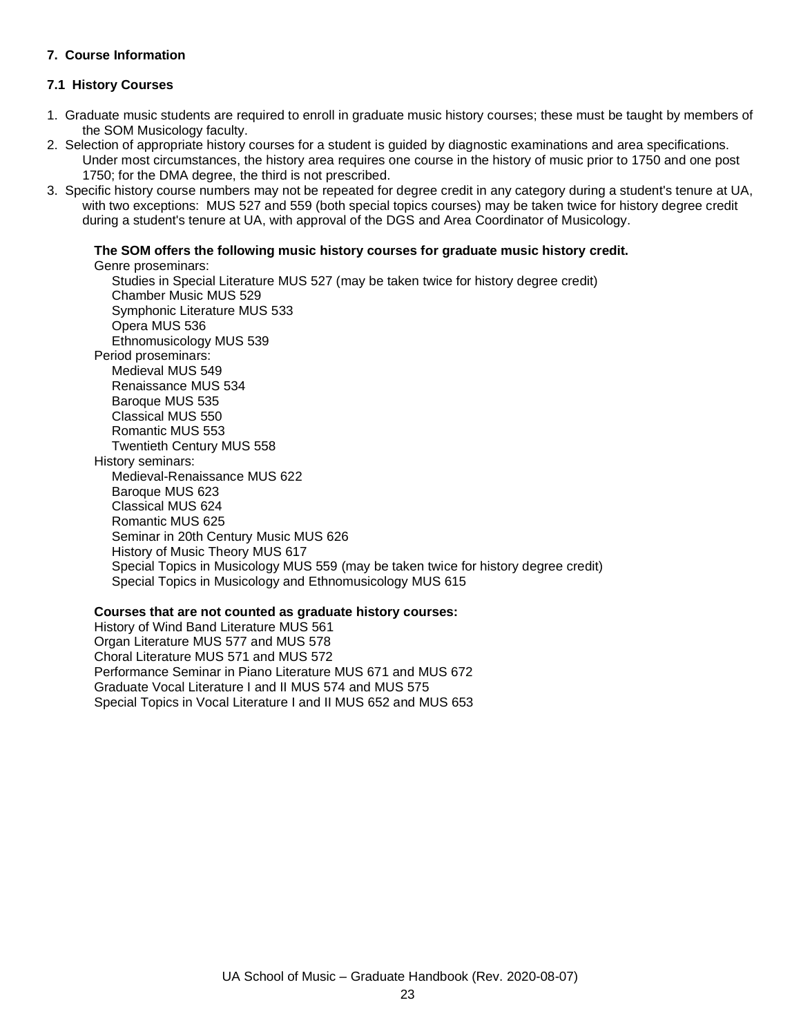## **7. Course Information**

## **7.1 History Courses**

- 1. Graduate music students are required to enroll in graduate music history courses; these must be taught by members of the SOM Musicology faculty.
- 2. Selection of appropriate history courses for a student is guided by diagnostic examinations and area specifications. Under most circumstances, the history area requires one course in the history of music prior to 1750 and one post 1750; for the DMA degree, the third is not prescribed.
- 3. Specific history course numbers may not be repeated for degree credit in any category during a student's tenure at UA, with two exceptions: MUS 527 and 559 (both special topics courses) may be taken twice for history degree credit during a student's tenure at UA, with approval of the DGS and Area Coordinator of Musicology.

## **The SOM offers the following music history courses for graduate music history credit.**

Genre proseminars:

Studies in Special Literature MUS 527 (may be taken twice for history degree credit) Chamber Music MUS 529 Symphonic Literature MUS 533 Opera MUS 536 Ethnomusicology MUS 539 Period proseminars: Medieval MUS 549 Renaissance MUS 534 Baroque MUS 535 Classical MUS 550 Romantic MUS 553 Twentieth Century MUS 558 History seminars: Medieval-Renaissance MUS 622 Baroque MUS 623 Classical MUS 624 Romantic MUS 625 Seminar in 20th Century Music MUS 626 History of Music Theory MUS 617 Special Topics in Musicology MUS 559 (may be taken twice for history degree credit) Special Topics in Musicology and Ethnomusicology MUS 615

#### **Courses that are not counted as graduate history courses:**

History of Wind Band Literature MUS 561 Organ Literature MUS 577 and MUS 578 Choral Literature MUS 571 and MUS 572 Performance Seminar in Piano Literature MUS 671 and MUS 672 Graduate Vocal Literature I and II MUS 574 and MUS 575 Special Topics in Vocal Literature I and II MUS 652 and MUS 653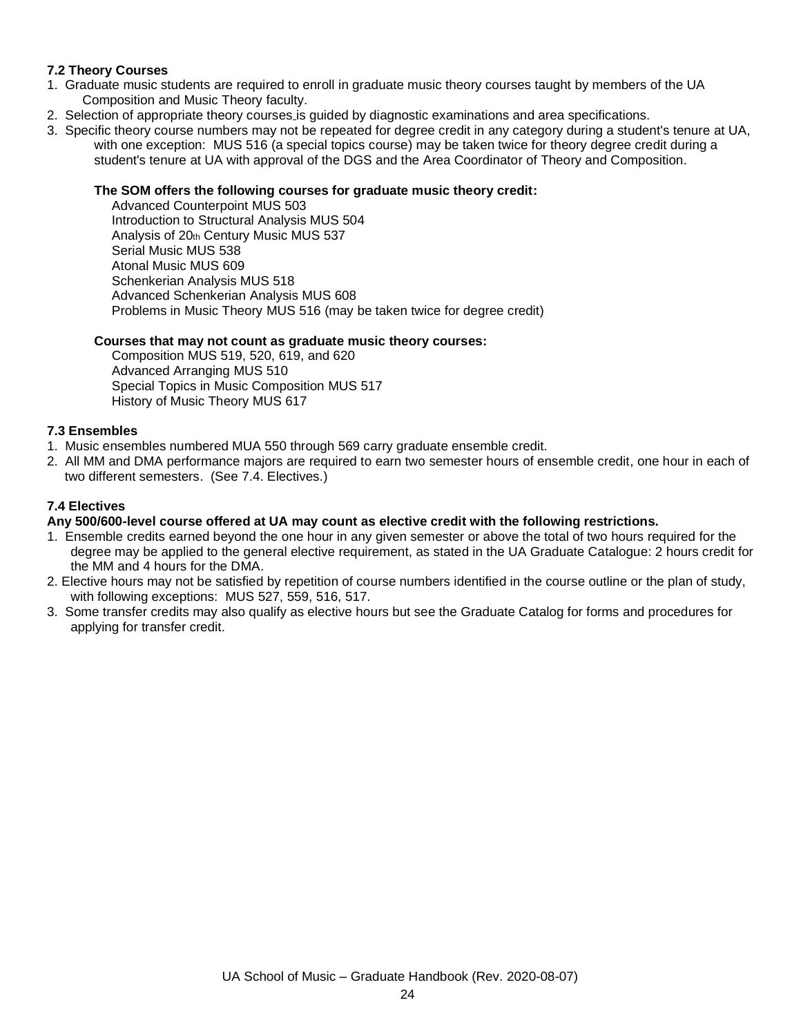## **7.2 Theory Courses**

- 1. Graduate music students are required to enroll in graduate music theory courses taught by members of the UA Composition and Music Theory faculty.
- 2. Selection of appropriate theory courses is guided by diagnostic examinations and area specifications.
- 3. Specific theory course numbers may not be repeated for degree credit in any category during a student's tenure at UA, with one exception: MUS 516 (a special topics course) may be taken twice for theory degree credit during a student's tenure at UA with approval of the DGS and the Area Coordinator of Theory and Composition.

#### **The SOM offers the following courses for graduate music theory credit:**

Advanced Counterpoint MUS 503 Introduction to Structural Analysis MUS 504 Analysis of 20th Century Music MUS 537 Serial Music MUS 538 Atonal Music MUS 609 Schenkerian Analysis MUS 518 Advanced Schenkerian Analysis MUS 608 Problems in Music Theory MUS 516 (may be taken twice for degree credit)

### **Courses that may not count as graduate music theory courses:**

Composition MUS 519, 520, 619, and 620 Advanced Arranging MUS 510 Special Topics in Music Composition MUS 517 History of Music Theory MUS 617

### **7.3 Ensembles**

- 1. Music ensembles numbered MUA 550 through 569 carry graduate ensemble credit.
- 2. All MM and DMA performance majors are required to earn two semester hours of ensemble credit, one hour in each of two different semesters. (See 7.4. Electives.)

## **7.4 Electives**

## **Any 500/600-level course offered at UA may count as elective credit with the following restrictions.**

- 1. Ensemble credits earned beyond the one hour in any given semester or above the total of two hours required for the degree may be applied to the general elective requirement, as stated in the UA Graduate Catalogue: 2 hours credit for the MM and 4 hours for the DMA.
- 2. Elective hours may not be satisfied by repetition of course numbers identified in the course outline or the plan of study, with following exceptions: MUS 527, 559, 516, 517.
- 3. Some transfer credits may also qualify as elective hours but see the Graduate Catalog for forms and procedures for applying for transfer credit.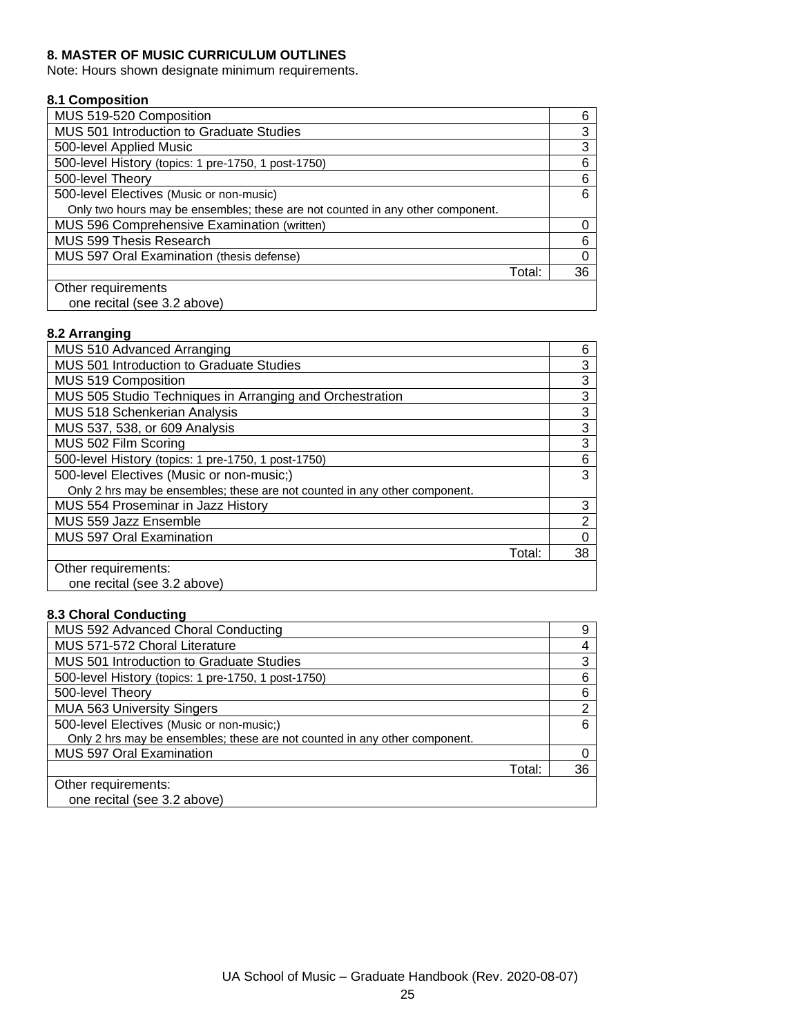## **8. MASTER OF MUSIC CURRICULUM OUTLINES**

Note: Hours shown designate minimum requirements.

### **8.1 Composition**

| MUS 519-520 Composition                                                        | 6  |
|--------------------------------------------------------------------------------|----|
| MUS 501 Introduction to Graduate Studies                                       | 3  |
| 500-level Applied Music                                                        | 3  |
| 500-level History (topics: 1 pre-1750, 1 post-1750)                            | 6  |
| 500-level Theory                                                               | 6  |
| 500-level Electives (Music or non-music)                                       | 6  |
| Only two hours may be ensembles; these are not counted in any other component. |    |
| MUS 596 Comprehensive Examination (written)                                    |    |
| MUS 599 Thesis Research                                                        | 6  |
| MUS 597 Oral Examination (thesis defense)                                      |    |
| Total:                                                                         | 36 |
| Other requirements                                                             |    |
| one recital (see 3.2 above)                                                    |    |

## **8.2 Arranging**

| MUS 510 Advanced Arranging                                                 | 6  |
|----------------------------------------------------------------------------|----|
| MUS 501 Introduction to Graduate Studies                                   | 3  |
| MUS 519 Composition                                                        | 3  |
| MUS 505 Studio Techniques in Arranging and Orchestration                   | 3  |
| MUS 518 Schenkerian Analysis                                               | 3  |
| MUS 537, 538, or 609 Analysis                                              | 3  |
| MUS 502 Film Scoring                                                       | 3  |
| 500-level History (topics: 1 pre-1750, 1 post-1750)                        | 6  |
| 500-level Electives (Music or non-music;)                                  | 3  |
| Only 2 hrs may be ensembles; these are not counted in any other component. |    |
| MUS 554 Proseminar in Jazz History                                         | 3  |
| MUS 559 Jazz Ensemble                                                      | 2  |
| <b>MUS 597 Oral Examination</b>                                            | 0  |
| Total:                                                                     | 38 |
| Other requirements:                                                        |    |
| one recital (see 3.2 above)                                                |    |

## **8.3 Choral Conducting**

| MUS 592 Advanced Choral Conducting                                         | 9  |
|----------------------------------------------------------------------------|----|
| MUS 571-572 Choral Literature                                              |    |
| MUS 501 Introduction to Graduate Studies                                   | 3  |
| 500-level History (topics: 1 pre-1750, 1 post-1750)                        | 6  |
| 500-level Theory                                                           | 6  |
| <b>MUA 563 University Singers</b>                                          | 2  |
| 500-level Electives (Music or non-music;)                                  | 6  |
| Only 2 hrs may be ensembles; these are not counted in any other component. |    |
| MUS 597 Oral Examination                                                   |    |
| Total:                                                                     | 36 |
| Other requirements:                                                        |    |
| one recital (see 3.2 above)                                                |    |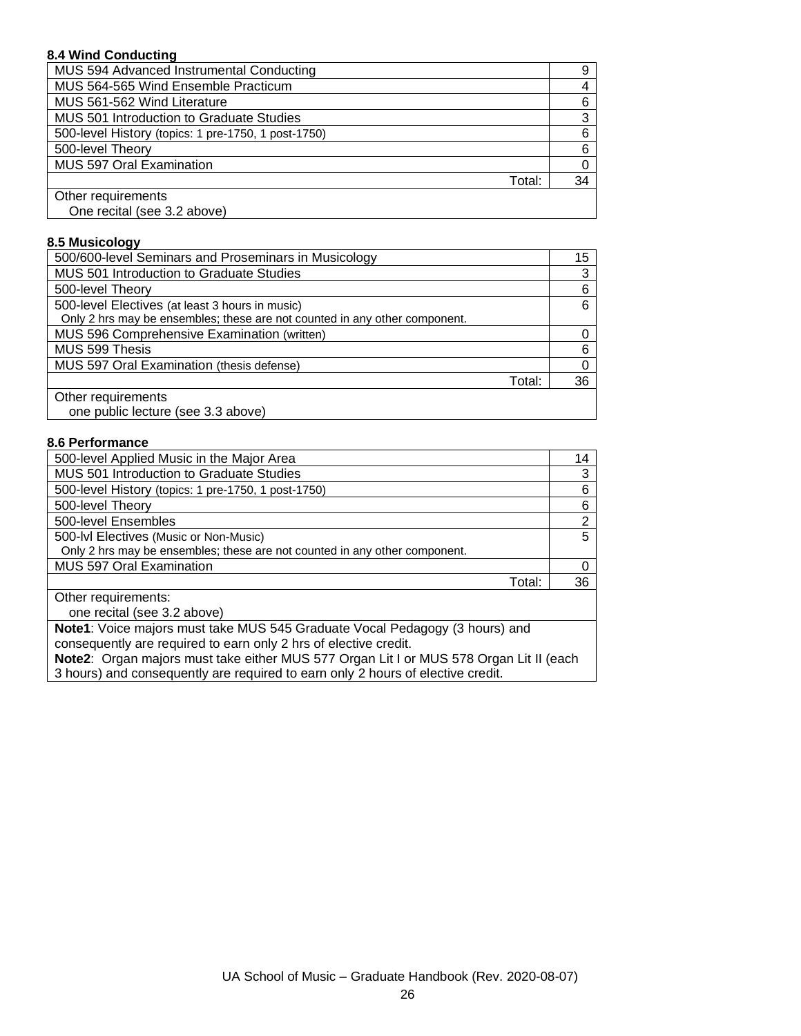### **8.4 Wind Conducting**

| MUS 594 Advanced Instrumental Conducting            |    |
|-----------------------------------------------------|----|
| MUS 564-565 Wind Ensemble Practicum                 |    |
| MUS 561-562 Wind Literature                         | 6  |
| MUS 501 Introduction to Graduate Studies            | 3  |
| 500-level History (topics: 1 pre-1750, 1 post-1750) | 6  |
| 500-level Theory                                    | 6  |
| MUS 597 Oral Examination                            |    |
| Total:                                              | 34 |
| Other requirements                                  |    |
| One recital (see 3.2 above)                         |    |

#### **8.5 Musicology**

| 500/600-level Seminars and Proseminars in Musicology                       | 15 |
|----------------------------------------------------------------------------|----|
| MUS 501 Introduction to Graduate Studies                                   | 3  |
| 500-level Theory                                                           | 6  |
| 500-level Electives (at least 3 hours in music)                            | 6  |
| Only 2 hrs may be ensembles; these are not counted in any other component. |    |
| MUS 596 Comprehensive Examination (written)                                |    |
| MUS 599 Thesis                                                             | ี  |
| MUS 597 Oral Examination (thesis defense)                                  |    |
| Total:                                                                     | 36 |
| Other requirements                                                         |    |
| one public lecture (see 3.3 above)                                         |    |

#### **8.6 Performance**

| 500-level Applied Music in the Major Area                                  | 14 |
|----------------------------------------------------------------------------|----|
| MUS 501 Introduction to Graduate Studies                                   | 3  |
| 500-level History (topics: 1 pre-1750, 1 post-1750)                        | 6  |
| 500-level Theory                                                           | 6  |
| 500-level Ensembles                                                        | 2  |
| 500-IvI Electives (Music or Non-Music)                                     | 5  |
| Only 2 hrs may be ensembles; these are not counted in any other component. |    |
| <b>MUS 597 Oral Examination</b>                                            | 0  |
| Total:                                                                     | 36 |
| Other requirements:                                                        |    |
| one recital (see 3.2 above)                                                |    |

**Note1**: Voice majors must take MUS 545 Graduate Vocal Pedagogy (3 hours) and consequently are required to earn only 2 hrs of elective credit.

**Note2**: Organ majors must take either MUS 577 Organ Lit I or MUS 578 Organ Lit II (each 3 hours) and consequently are required to earn only 2 hours of elective credit.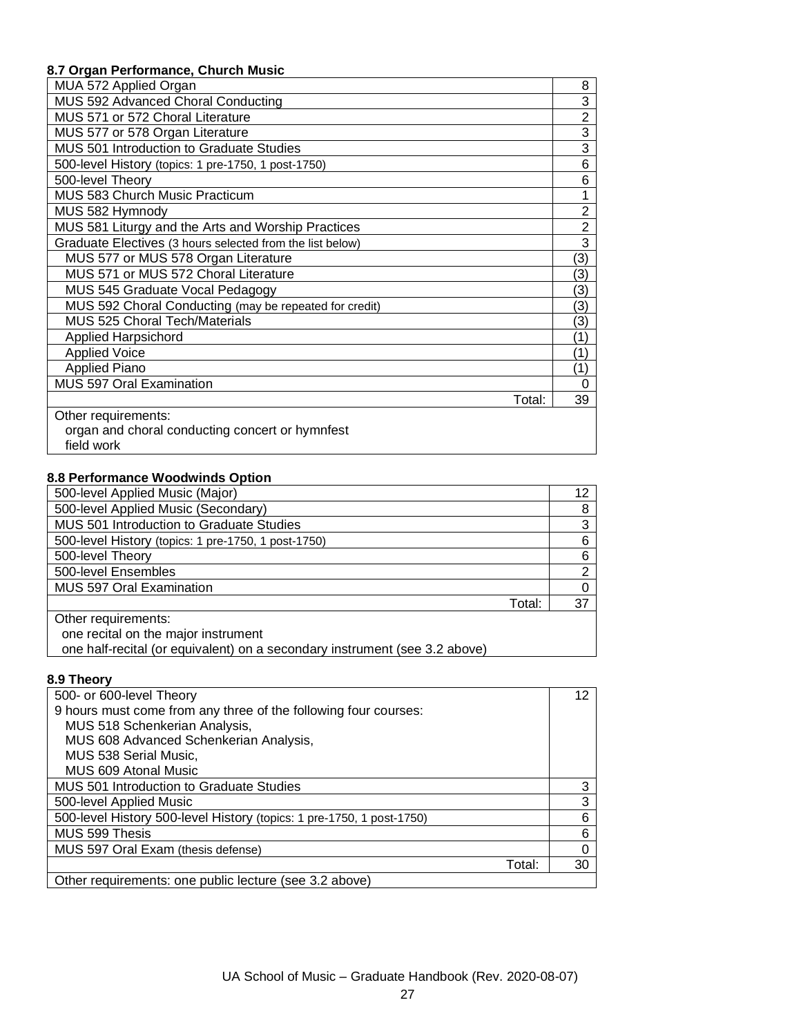# **8.7 Organ Performance, Church Music**

| MUA 572 Applied Organ                                     | 8              |
|-----------------------------------------------------------|----------------|
| MUS 592 Advanced Choral Conducting                        | 3              |
| MUS 571 or 572 Choral Literature                          | $\overline{2}$ |
| MUS 577 or 578 Organ Literature                           | 3              |
| MUS 501 Introduction to Graduate Studies                  | 3              |
| 500-level History (topics: 1 pre-1750, 1 post-1750)       | 6              |
| 500-level Theory                                          | 6              |
| MUS 583 Church Music Practicum                            |                |
| MUS 582 Hymnody                                           | 2              |
| MUS 581 Liturgy and the Arts and Worship Practices        | $\overline{2}$ |
| Graduate Electives (3 hours selected from the list below) | 3              |
| MUS 577 or MUS 578 Organ Literature                       | (3)            |
| MUS 571 or MUS 572 Choral Literature                      | (3)            |
| MUS 545 Graduate Vocal Pedagogy                           | (3)            |
| MUS 592 Choral Conducting (may be repeated for credit)    | (3)            |
| MUS 525 Choral Tech/Materials                             | (3)            |
| <b>Applied Harpsichord</b>                                | (1)            |
| <b>Applied Voice</b>                                      | (1)            |
| <b>Applied Piano</b>                                      | (1)            |
| MUS 597 Oral Examination                                  | 0              |
| Total:                                                    | 39             |
| Other requirements:                                       |                |
| organ and choral conducting concert or hymnfest           |                |
| field work                                                |                |

## **8.8 Performance Woodwinds Option**

| 500-level Applied Music (Major)                     | 12 |
|-----------------------------------------------------|----|
| 500-level Applied Music (Secondary)                 | 8  |
| MUS 501 Introduction to Graduate Studies            | 3  |
| 500-level History (topics: 1 pre-1750, 1 post-1750) | 6  |
| 500-level Theory                                    | 6  |
| 500-level Ensembles                                 | 2  |
| <b>MUS 597 Oral Examination</b>                     | 0  |
| Total:                                              | 37 |
| Other requirements:                                 |    |
| one recital on the major instrument                 |    |

one half-recital (or equivalent) on a secondary instrument (see 3.2 above)

# **8.9 Theory**

| 500- or 600-level Theory                                              | 12 |
|-----------------------------------------------------------------------|----|
| 9 hours must come from any three of the following four courses:       |    |
| MUS 518 Schenkerian Analysis,                                         |    |
| MUS 608 Advanced Schenkerian Analysis,                                |    |
| MUS 538 Serial Music,                                                 |    |
| MUS 609 Atonal Music                                                  |    |
| MUS 501 Introduction to Graduate Studies                              |    |
| 500-level Applied Music                                               | 3  |
| 500-level History 500-level History (topics: 1 pre-1750, 1 post-1750) | 6  |
| MUS 599 Thesis                                                        | 6  |
| MUS 597 Oral Exam (thesis defense)                                    | 0  |
| Total:                                                                | 30 |
| Other requirements: one public lecture (see 3.2 above)                |    |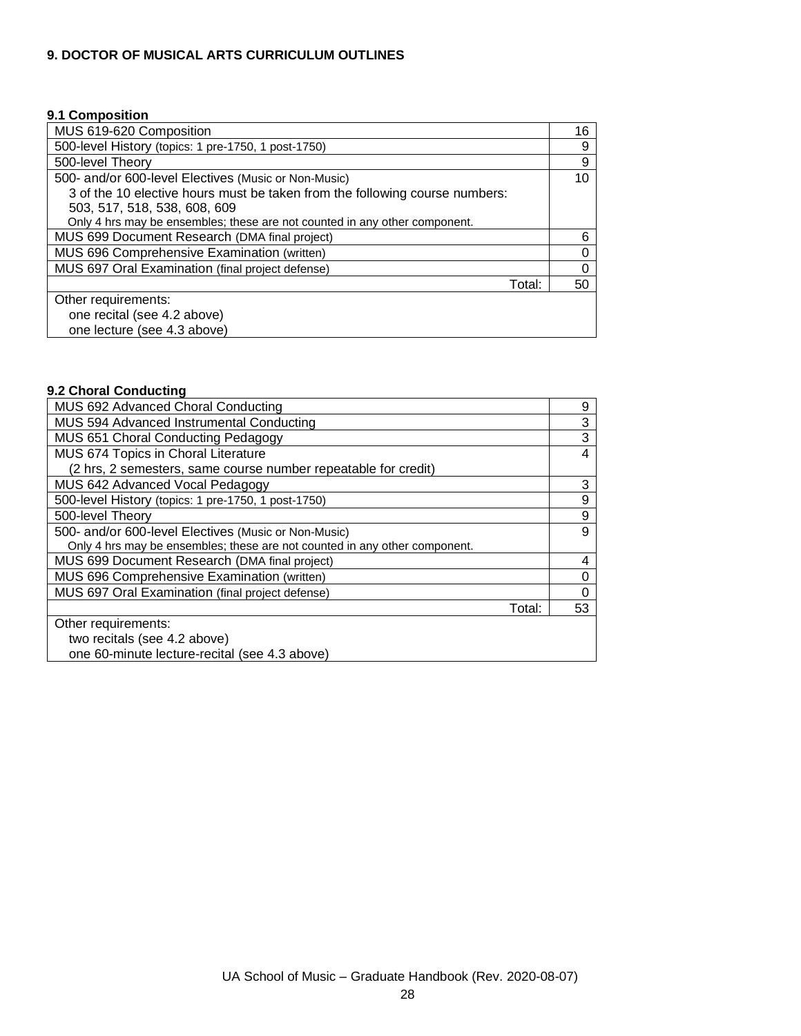## **9. DOCTOR OF MUSICAL ARTS CURRICULUM OUTLINES**

#### **9.1 Composition**

| MUS 619-620 Composition                                                     | 16 |
|-----------------------------------------------------------------------------|----|
| 500-level History (topics: 1 pre-1750, 1 post-1750)                         | 9  |
| 500-level Theory                                                            | 9  |
| 500- and/or 600-level Electives (Music or Non-Music)                        | 10 |
| 3 of the 10 elective hours must be taken from the following course numbers: |    |
| 503, 517, 518, 538, 608, 609                                                |    |
| Only 4 hrs may be ensembles; these are not counted in any other component.  |    |
| MUS 699 Document Research (DMA final project)                               | 6  |
| MUS 696 Comprehensive Examination (written)                                 | 0  |
| MUS 697 Oral Examination (final project defense)                            | 0  |
| Total:                                                                      | 50 |
| Other requirements:                                                         |    |
| one recital (see 4.2 above)                                                 |    |
| one lecture (see 4.3 above)                                                 |    |

## **9.2 Choral Conducting**

| MUS 692 Advanced Choral Conducting                                         | 9  |
|----------------------------------------------------------------------------|----|
| MUS 594 Advanced Instrumental Conducting                                   | 3  |
| <b>MUS 651 Choral Conducting Pedagogy</b>                                  | 3  |
| MUS 674 Topics in Choral Literature                                        | 4  |
| (2 hrs, 2 semesters, same course number repeatable for credit)             |    |
| MUS 642 Advanced Vocal Pedagogy                                            | 3  |
| 500-level History (topics: 1 pre-1750, 1 post-1750)                        | 9  |
| 500-level Theory                                                           | 9  |
| 500- and/or 600-level Electives (Music or Non-Music)                       | 9  |
| Only 4 hrs may be ensembles; these are not counted in any other component. |    |
| MUS 699 Document Research (DMA final project)                              | 4  |
| MUS 696 Comprehensive Examination (written)                                |    |
| MUS 697 Oral Examination (final project defense)                           |    |
| Total:                                                                     | 53 |
| Other requirements:                                                        |    |
| two recitals (see 4.2 above)                                               |    |
| one 60-minute lecture-recital (see 4.3 above)                              |    |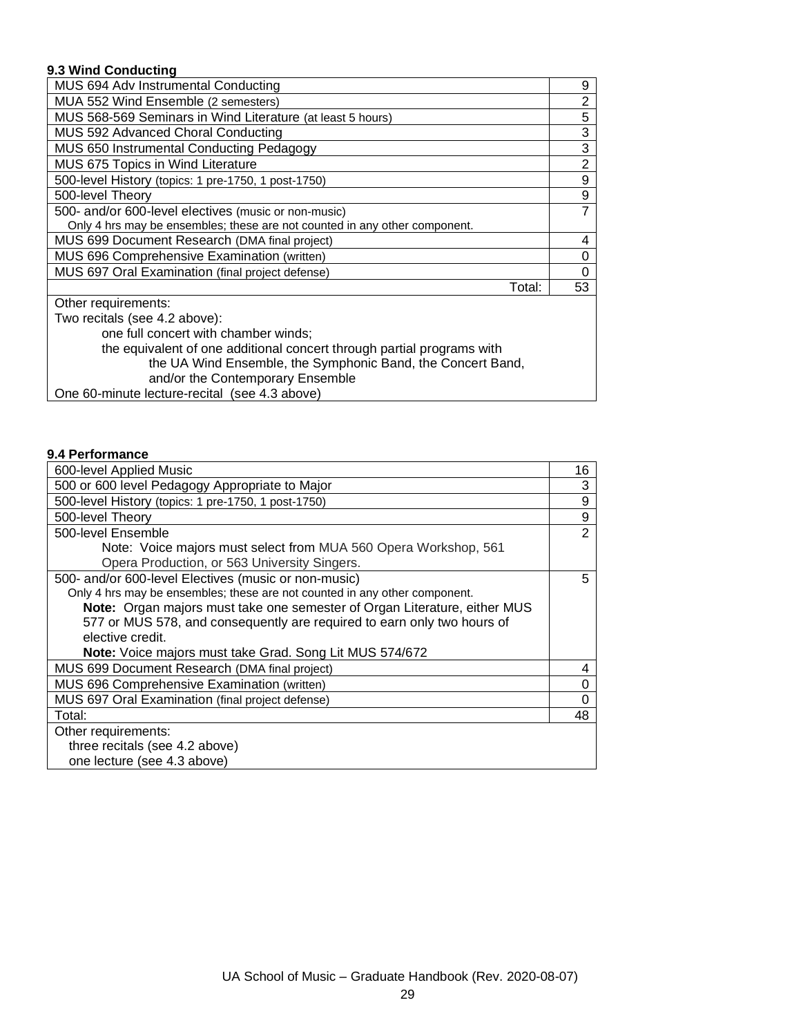## **9.3 Wind Conducting**

| MUS 694 Adv Instrumental Conducting                                        | 9  |
|----------------------------------------------------------------------------|----|
| MUA 552 Wind Ensemble (2 semesters)                                        | 2  |
| MUS 568-569 Seminars in Wind Literature (at least 5 hours)                 | 5  |
| MUS 592 Advanced Choral Conducting                                         | 3  |
| MUS 650 Instrumental Conducting Pedagogy                                   | 3  |
| MUS 675 Topics in Wind Literature                                          | 2  |
| 500-level History (topics: 1 pre-1750, 1 post-1750)                        | 9  |
| 500-level Theory                                                           | 9  |
| 500- and/or 600-level electives (music or non-music)                       | 7  |
| Only 4 hrs may be ensembles; these are not counted in any other component. |    |
| MUS 699 Document Research (DMA final project)                              | 4  |
| MUS 696 Comprehensive Examination (written)                                | 0  |
| MUS 697 Oral Examination (final project defense)                           |    |
| Total:                                                                     | 53 |
| Other requirements:                                                        |    |
| Two recitals (see 4.2 above):                                              |    |
|                                                                            |    |

one full concert with chamber winds; the equivalent of one additional concert through partial programs with the UA Wind Ensemble, the Symphonic Band, the Concert Band, and/or the Contemporary Ensemble

One 60-minute lecture-recital (see 4.3 above)

## **9.4 Performance**

| 600-level Applied Music                                                          | 16             |
|----------------------------------------------------------------------------------|----------------|
| 500 or 600 level Pedagogy Appropriate to Major                                   | 3              |
| 500-level History (topics: 1 pre-1750, 1 post-1750)                              | 9              |
| 500-level Theory                                                                 | 9              |
| 500-level Ensemble                                                               | $\overline{2}$ |
| Note: Voice majors must select from MUA 560 Opera Workshop, 561                  |                |
| Opera Production, or 563 University Singers.                                     |                |
| 500- and/or 600-level Electives (music or non-music)                             | 5.             |
| Only 4 hrs may be ensembles; these are not counted in any other component.       |                |
| <b>Note:</b> Organ majors must take one semester of Organ Literature, either MUS |                |
| 577 or MUS 578, and consequently are required to earn only two hours of          |                |
| elective credit.                                                                 |                |
| Note: Voice majors must take Grad. Song Lit MUS 574/672                          |                |
| MUS 699 Document Research (DMA final project)                                    | 4              |
| MUS 696 Comprehensive Examination (written)                                      |                |
| MUS 697 Oral Examination (final project defense)                                 |                |
| Total:                                                                           | 48             |
| Other requirements:                                                              |                |
| three recitals (see 4.2 above)                                                   |                |
| one lecture (see 4.3 above)                                                      |                |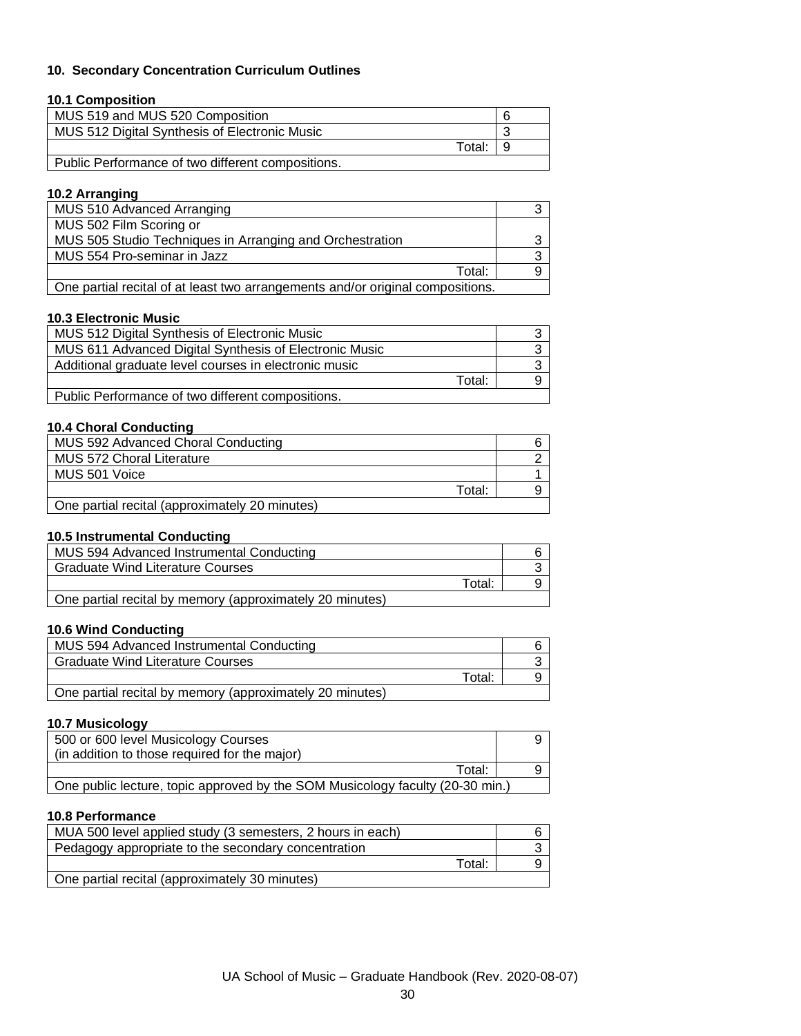## **10. Secondary Concentration Curriculum Outlines**

### **10.1 Composition**

| MUS 519 and MUS 520 Composition                   |  |
|---------------------------------------------------|--|
| MUS 512 Digital Synthesis of Electronic Music     |  |
| Total:                                            |  |
| Public Performance of two different compositions. |  |

## **10.2 Arranging**

| MUS 510 Advanced Arranging                                                     |  |
|--------------------------------------------------------------------------------|--|
| MUS 502 Film Scoring or                                                        |  |
| MUS 505 Studio Techniques in Arranging and Orchestration                       |  |
| MUS 554 Pro-seminar in Jazz                                                    |  |
| Total:                                                                         |  |
| One partial recital of at least two arrangements and/or original compositions. |  |

#### **10.3 Electronic Music**

| MUS 512 Digital Synthesis of Electronic Music          |  |
|--------------------------------------------------------|--|
| MUS 611 Advanced Digital Synthesis of Electronic Music |  |
| Additional graduate level courses in electronic music  |  |
| Total:                                                 |  |
| Public Performance of two different compositions.      |  |

## **10.4 Choral Conducting**

| MUS 592 Advanced Choral Conducting             |  |
|------------------------------------------------|--|
| <b>MUS 572 Choral Literature</b>               |  |
| MUS 501 Voice                                  |  |
| Total:                                         |  |
| One partial recital (approximately 20 minutes) |  |

#### **10.5 Instrumental Conducting**

| MUS 594 Advanced Instrumental Conducting                 |  |
|----------------------------------------------------------|--|
| <b>Graduate Wind Literature Courses</b>                  |  |
| Total:                                                   |  |
| One partial recital by memory (approximately 20 minutes) |  |

#### **10.6 Wind Conducting**

| MUS 594 Advanced Instrumental Conducting                 |        |  |
|----------------------------------------------------------|--------|--|
| <b>Graduate Wind Literature Courses</b>                  |        |  |
|                                                          | Total: |  |
| One partial recital by memory (approximately 20 minutes) |        |  |

#### **10.7 Musicology**

| 500 or 600 level Musicology Courses                                           |  |
|-------------------------------------------------------------------------------|--|
| (in addition to those required for the major)                                 |  |
| Total:                                                                        |  |
| One public lecture, topic approved by the SOM Musicology faculty (20-30 min.) |  |

#### **10.8 Performance**

| MUA 500 level applied study (3 semesters, 2 hours in each) |  |
|------------------------------------------------------------|--|
| Pedagogy appropriate to the secondary concentration        |  |
| Total:                                                     |  |
| One partial recital (approximately 30 minutes)             |  |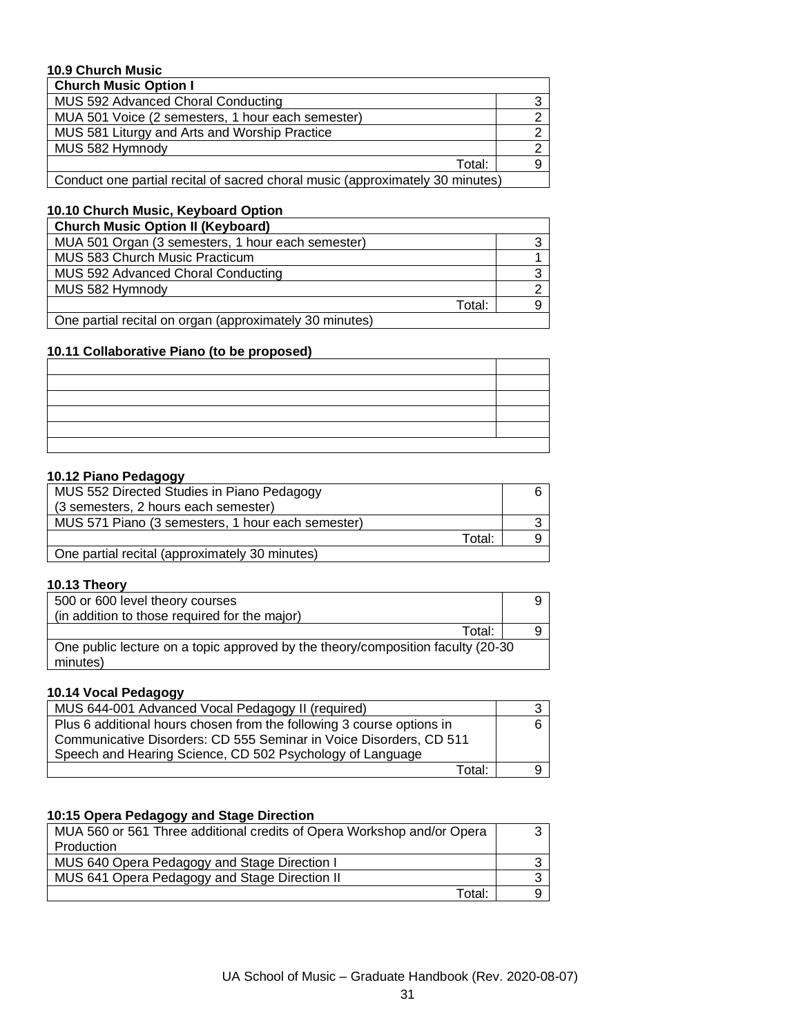## **10.9 Church Music**

| <b>Church Music Option I</b>                                                  |   |
|-------------------------------------------------------------------------------|---|
| MUS 592 Advanced Choral Conducting                                            | 3 |
| MUA 501 Voice (2 semesters, 1 hour each semester)                             |   |
| MUS 581 Liturgy and Arts and Worship Practice                                 |   |
| MUS 582 Hymnody                                                               |   |
| Total:                                                                        |   |
| Conduct one partial recital of sacred choral music (approximately 30 minutes) |   |

#### **10.10 Church Music, Keyboard Option**

| <b>Church Music Option II (Keyboard)</b>                |  |  |
|---------------------------------------------------------|--|--|
| MUA 501 Organ (3 semesters, 1 hour each semester)       |  |  |
| MUS 583 Church Music Practicum                          |  |  |
| MUS 592 Advanced Choral Conducting                      |  |  |
| MUS 582 Hymnody                                         |  |  |
| Total:                                                  |  |  |
| One partial recital on organ (approximately 30 minutes) |  |  |

## **10.11 Collaborative Piano (to be proposed)**

## **10.12 Piano Pedagogy**

| MUS 552 Directed Studies in Piano Pedagogy        |  |
|---------------------------------------------------|--|
| (3 semesters, 2 hours each semester)              |  |
| MUS 571 Piano (3 semesters, 1 hour each semester) |  |
| Total:                                            |  |
| One partial recital (approximately 30 minutes)    |  |

## **10.13 Theory**

| 500 or 600 level theory courses<br>(in addition to those required for the major)             |  |
|----------------------------------------------------------------------------------------------|--|
| Total:                                                                                       |  |
| One public lecture on a topic approved by the theory/composition faculty (20-30)<br>minutes) |  |

### **10.14 Vocal Pedagogy**

| MUS 644-001 Advanced Vocal Pedagogy II (required)                     |  |
|-----------------------------------------------------------------------|--|
| Plus 6 additional hours chosen from the following 3 course options in |  |
| Communicative Disorders: CD 555 Seminar in Voice Disorders, CD 511    |  |
| Speech and Hearing Science, CD 502 Psychology of Language             |  |
| Total:                                                                |  |

## **10:15 Opera Pedagogy and Stage Direction**

| MUA 560 or 561 Three additional credits of Opera Workshop and/or Opera |  |
|------------------------------------------------------------------------|--|
| Production                                                             |  |
| MUS 640 Opera Pedagogy and Stage Direction I                           |  |
| MUS 641 Opera Pedagogy and Stage Direction II                          |  |
| Total:                                                                 |  |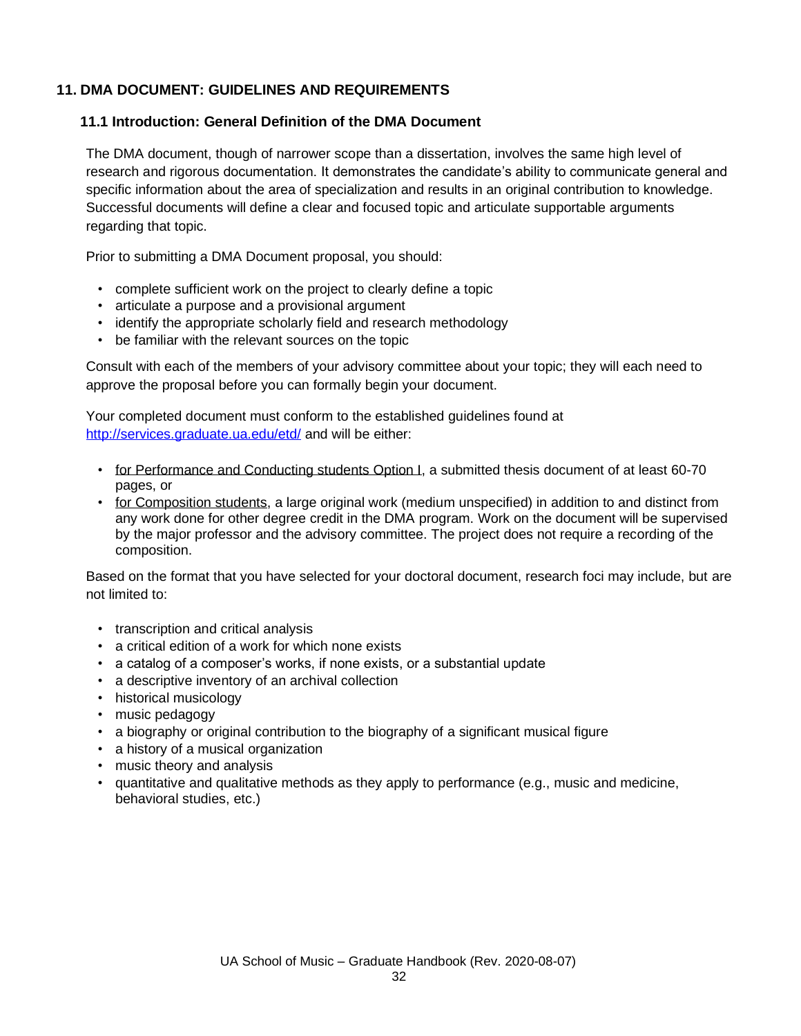## **11. DMA DOCUMENT: GUIDELINES AND REQUIREMENTS**

## **11.1 Introduction: General Definition of the DMA Document**

The DMA document, though of narrower scope than a dissertation, involves the same high level of research and rigorous documentation. It demonstrates the candidate's ability to communicate general and specific information about the area of specialization and results in an original contribution to knowledge. Successful documents will define a clear and focused topic and articulate supportable arguments regarding that topic.

Prior to submitting a DMA Document proposal, you should:

- complete sufficient work on the project to clearly define a topic
- articulate a purpose and a provisional argument
- identify the appropriate scholarly field and research methodology
- be familiar with the relevant sources on the topic

Consult with each of the members of your advisory committee about your topic; they will each need to approve the proposal before you can formally begin your document.

Your completed document must conform to the established guidelines found at <http://services.graduate.ua.edu/etd/> and will be either:

- for Performance and Conducting students Option I, a submitted thesis document of at least 60-70 pages, or
- for Composition students, a large original work (medium unspecified) in addition to and distinct from any work done for other degree credit in the DMA program. Work on the document will be supervised by the major professor and the advisory committee. The project does not require a recording of the composition.

Based on the format that you have selected for your doctoral document, research foci may include, but are not limited to:

- transcription and critical analysis
- a critical edition of a work for which none exists
- a catalog of a composer's works, if none exists, or a substantial update
- a descriptive inventory of an archival collection
- historical musicology
- music pedagogy
- a biography or original contribution to the biography of a significant musical figure
- a history of a musical organization
- music theory and analysis
- quantitative and qualitative methods as they apply to performance (e.g., music and medicine, behavioral studies, etc.)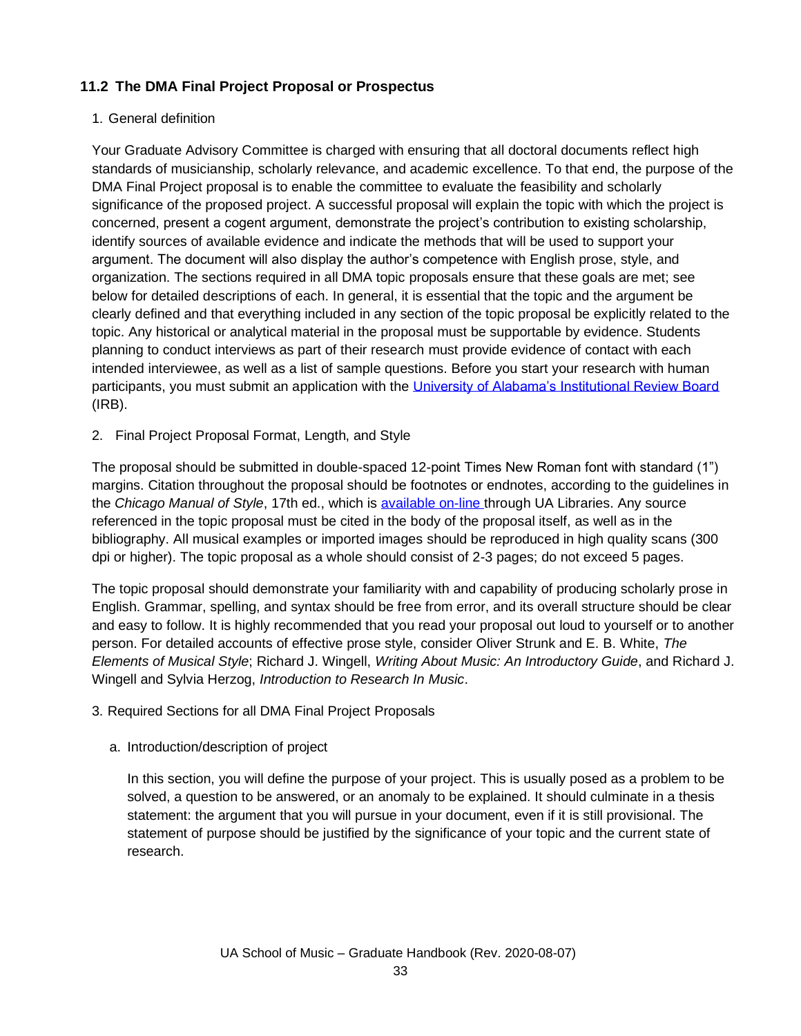# **11.2 The DMA Final Project Proposal or Prospectus**

## 1. General definition

Your Graduate Advisory Committee is charged with ensuring that all doctoral documents reflect high standards of musicianship, scholarly relevance, and academic excellence. To that end, the purpose of the DMA Final Project proposal is to enable the committee to evaluate the feasibility and scholarly significance of the proposed project. A successful proposal will explain the topic with which the project is concerned, present a cogent argument, demonstrate the project's contribution to existing scholarship, identify sources of available evidence and indicate the methods that will be used to support your argument. The document will also display the author's competence with English prose, style, and organization. The sections required in all DMA topic proposals ensure that these goals are met; see below for detailed descriptions of each. In general, it is essential that the topic and the argument be clearly defined and that everything included in any section of the topic proposal be explicitly related to the topic. Any historical or analytical material in the proposal must be supportable by evidence. Students planning to conduct interviews as part of their research must provide evidence of contact with each intended interviewee, as well as a list of sample questions. Before you start your research with human participants, you must submit an application with the [University of Alabama's Institutional Review Board](http://ovpred.ua.edu/research-compliance/) (IRB).

2. Final Project Proposal Format, Length, and Style

The proposal should be submitted in double-spaced 12-point Times New Roman font with standard (1") margins. Citation throughout the proposal should be footnotes or endnotes, according to the guidelines in the *Chicago Manual of Style*, 17th ed., which is [available on-line t](https://www.chicagomanualofstyle.org/home.html)hrough UA Libraries. Any source referenced in the topic proposal must be cited in the body of the proposal itself, as well as in the bibliography. All musical examples or imported images should be reproduced in high quality scans (300 dpi or higher). The topic proposal as a whole should consist of 2-3 pages; do not exceed 5 pages.

The topic proposal should demonstrate your familiarity with and capability of producing scholarly prose in English. Grammar, spelling, and syntax should be free from error, and its overall structure should be clear and easy to follow. It is highly recommended that you read your proposal out loud to yourself or to another person. For detailed accounts of effective prose style, consider Oliver Strunk and E. B. White, *The Elements of Musical Style*; Richard J. Wingell, *Writing About Music: An Introductory Guide*, and Richard J. Wingell and Sylvia Herzog, *Introduction to Research In Music*.

- 3. Required Sections for all DMA Final Project Proposals
	- a. Introduction/description of project

In this section, you will define the purpose of your project. This is usually posed as a problem to be solved, a question to be answered, or an anomaly to be explained. It should culminate in a thesis statement: the argument that you will pursue in your document, even if it is still provisional. The statement of purpose should be justified by the significance of your topic and the current state of research.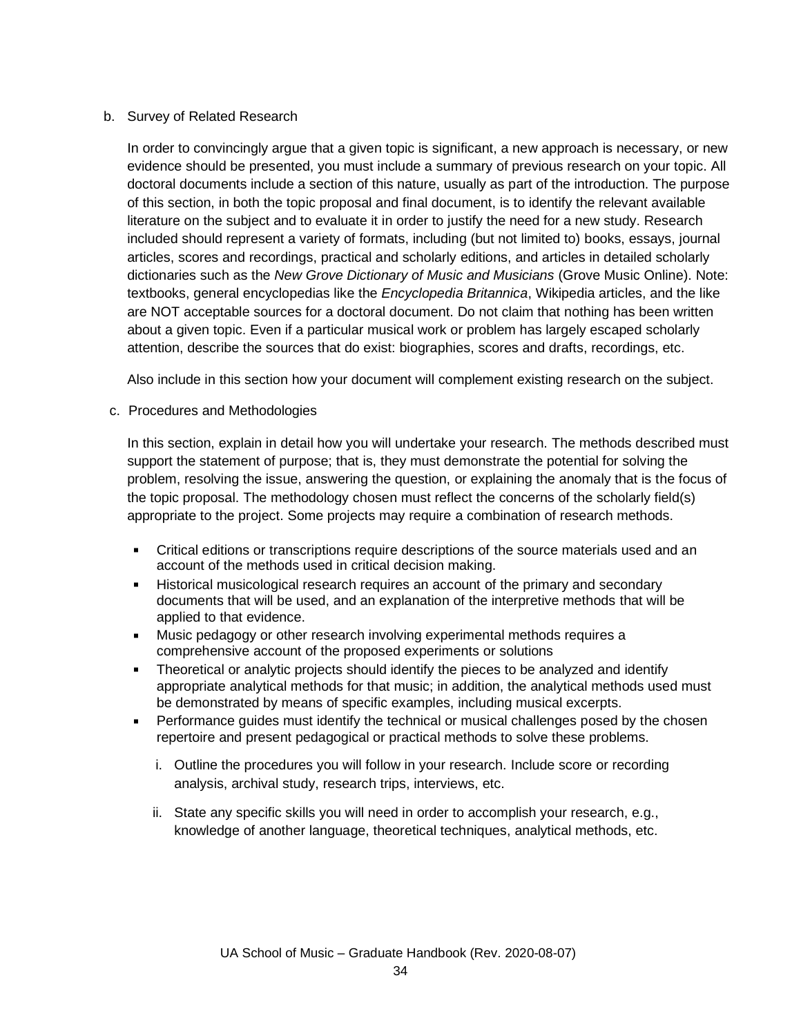## b. Survey of Related Research

In order to convincingly argue that a given topic is significant, a new approach is necessary, or new evidence should be presented, you must include a summary of previous research on your topic. All doctoral documents include a section of this nature, usually as part of the introduction. The purpose of this section, in both the topic proposal and final document, is to identify the relevant available literature on the subject and to evaluate it in order to justify the need for a new study. Research included should represent a variety of formats, including (but not limited to) books, essays, journal articles, scores and recordings, practical and scholarly editions, and articles in detailed scholarly dictionaries such as the *New Grove Dictionary of Music and Musicians* (Grove Music Online). Note: textbooks, general encyclopedias like the *Encyclopedia Britannica*, Wikipedia articles, and the like are NOT acceptable sources for a doctoral document. Do not claim that nothing has been written about a given topic. Even if a particular musical work or problem has largely escaped scholarly attention, describe the sources that do exist: biographies, scores and drafts, recordings, etc.

Also include in this section how your document will complement existing research on the subject.

c. Procedures and Methodologies

In this section, explain in detail how you will undertake your research. The methods described must support the statement of purpose; that is, they must demonstrate the potential for solving the problem, resolving the issue, answering the question, or explaining the anomaly that is the focus of the topic proposal. The methodology chosen must reflect the concerns of the scholarly field(s) appropriate to the project. Some projects may require a combination of research methods.

- $\blacksquare$ Critical editions or transcriptions require descriptions of the source materials used and an account of the methods used in critical decision making.
- Historical musicological research requires an account of the primary and secondary  $\blacksquare$ documents that will be used, and an explanation of the interpretive methods that will be applied to that evidence.
- Music pedagogy or other research involving experimental methods requires a comprehensive account of the proposed experiments or solutions
- Theoretical or analytic projects should identify the pieces to be analyzed and identify  $\blacksquare$ appropriate analytical methods for that music; in addition, the analytical methods used must be demonstrated by means of specific examples, including musical excerpts.
- Performance guides must identify the technical or musical challenges posed by the chosen repertoire and present pedagogical or practical methods to solve these problems.
	- i. Outline the procedures you will follow in your research. Include score or recording analysis, archival study, research trips, interviews, etc.
	- ii. State any specific skills you will need in order to accomplish your research, e.g., knowledge of another language, theoretical techniques, analytical methods, etc.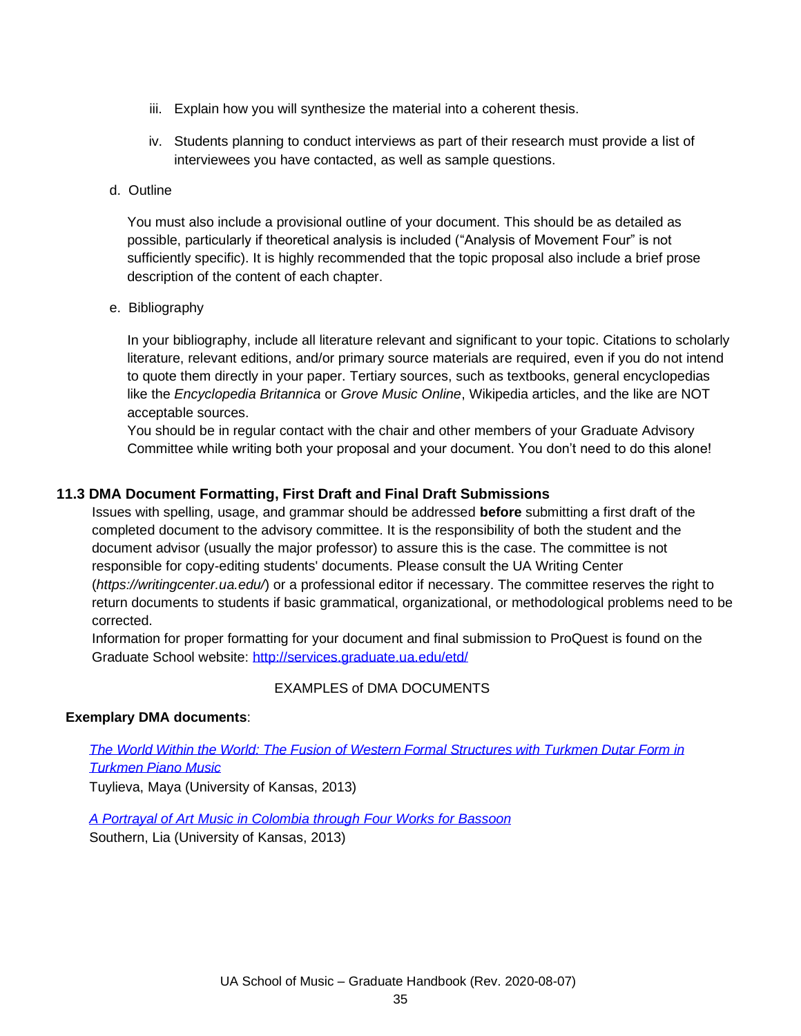- iii. Explain how you will synthesize the material into a coherent thesis.
- iv. Students planning to conduct interviews as part of their research must provide a list of interviewees you have contacted, as well as sample questions.
- d. Outline

You must also include a provisional outline of your document. This should be as detailed as possible, particularly if theoretical analysis is included ("Analysis of Movement Four" is not sufficiently specific). It is highly recommended that the topic proposal also include a brief prose description of the content of each chapter.

e. Bibliography

In your bibliography, include all literature relevant and significant to your topic. Citations to scholarly literature, relevant editions, and/or primary source materials are required, even if you do not intend to quote them directly in your paper. Tertiary sources, such as textbooks, general encyclopedias like the *Encyclopedia Britannica* or *Grove Music Online*, Wikipedia articles, and the like are NOT acceptable sources.

You should be in regular contact with the chair and other members of your Graduate Advisory Committee while writing both your proposal and your document. You don't need to do this alone!

## **11.3 DMA Document Formatting, First Draft and Final Draft Submissions**

Issues with spelling, usage, and grammar should be addressed **before** submitting a first draft of the completed document to the advisory committee. It is the responsibility of both the student and the document advisor (usually the major professor) to assure this is the case. The committee is not responsible for copy-editing students' documents. Please consult the UA Writing Center (*<https://writingcenter.ua.edu/>*) or a professional editor if necessary. The committee reserves the right to return documents to students if basic grammatical, organizational, or methodological problems need to be corrected.

Information for proper formatting for your document and final submission to ProQuest is found on the Graduate School website:<http://services.graduate.ua.edu/etd/>

## EXAMPLES of DMA DOCUMENTS

## **Exemplary DMA documents**:

*The World Within [the World: The Fusion](http://kuscholarworks.ku.edu/handle/1808/12348) of Western Formal Structures with Turkmen Dutar Form in [Turkmen](http://kuscholarworks.ku.edu/handle/1808/12348) Piano Music*

Tuylieva, Maya (University of Kansas, 2013)

*A Portrayal of Art Music [in Colombia through Four](http://kuscholarworks.ku.edu/handle/1808/12347) Works for Bassoon* Southern, Lia (University of Kansas, 2013)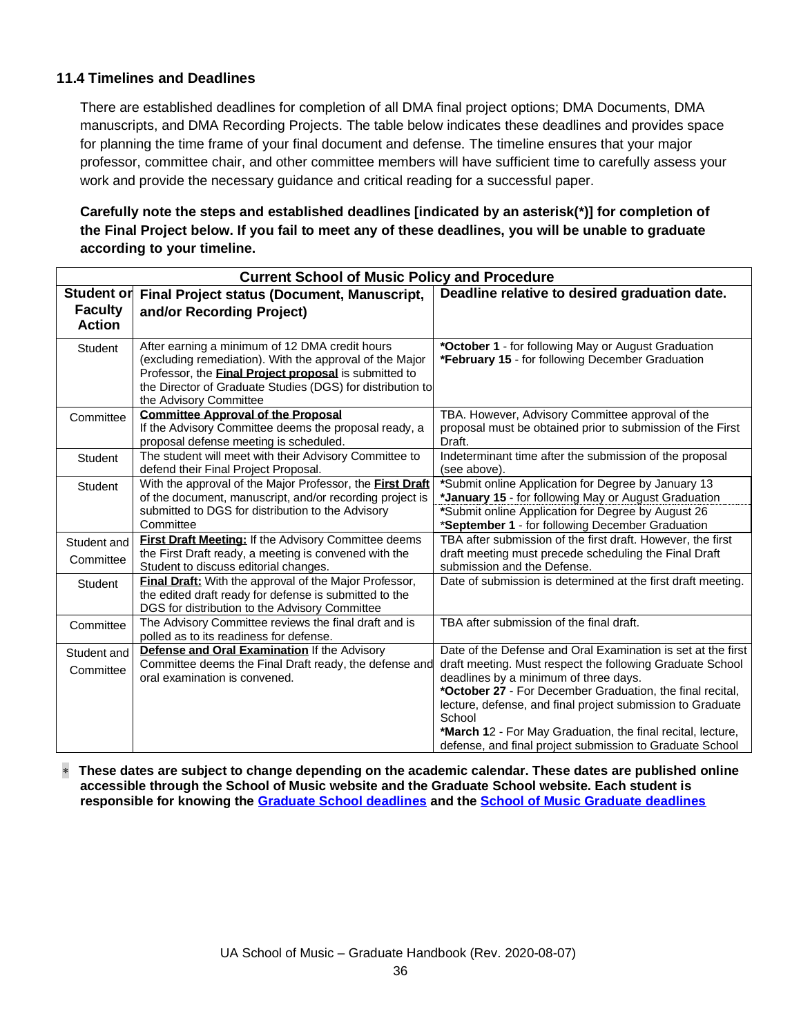## **11.4 Timelines and Deadlines**

There are established deadlines for completion of all DMA final project options; DMA Documents, DMA manuscripts, and DMA Recording Projects. The table below indicates these deadlines and provides space for planning the time frame of your final document and defense. The timeline ensures that your major professor, committee chair, and other committee members will have sufficient time to carefully assess your work and provide the necessary guidance and critical reading for a successful paper.

## **Carefully note the steps and established deadlines [indicated by an asterisk(\*)] for completion of the Final Project below. If you fail to meet any of these deadlines, you will be unable to graduate according to your timeline.**

| <b>Current School of Music Policy and Procedure</b> |                                                                                                                                                                                                                                                                   |                                                                                                                                                                                                                                                                                                                                                                        |
|-----------------------------------------------------|-------------------------------------------------------------------------------------------------------------------------------------------------------------------------------------------------------------------------------------------------------------------|------------------------------------------------------------------------------------------------------------------------------------------------------------------------------------------------------------------------------------------------------------------------------------------------------------------------------------------------------------------------|
| Student or                                          | <b>Final Project status (Document, Manuscript,</b>                                                                                                                                                                                                                | Deadline relative to desired graduation date.                                                                                                                                                                                                                                                                                                                          |
| <b>Faculty</b><br><b>Action</b>                     | and/or Recording Project)                                                                                                                                                                                                                                         |                                                                                                                                                                                                                                                                                                                                                                        |
| Student                                             | After earning a minimum of 12 DMA credit hours<br>(excluding remediation). With the approval of the Major<br>Professor, the <b>Final Project proposal</b> is submitted to<br>the Director of Graduate Studies (DGS) for distribution to<br>the Advisory Committee | *October 1 - for following May or August Graduation<br>*February 15 - for following December Graduation                                                                                                                                                                                                                                                                |
| Committee                                           | <b>Committee Approval of the Proposal</b><br>If the Advisory Committee deems the proposal ready, a<br>proposal defense meeting is scheduled.                                                                                                                      | TBA. However, Advisory Committee approval of the<br>proposal must be obtained prior to submission of the First<br>Draft.                                                                                                                                                                                                                                               |
| Student                                             | The student will meet with their Advisory Committee to<br>defend their Final Project Proposal.                                                                                                                                                                    | Indeterminant time after the submission of the proposal<br>(see above).                                                                                                                                                                                                                                                                                                |
| Student                                             | With the approval of the Major Professor, the First Draft<br>of the document, manuscript, and/or recording project is<br>submitted to DGS for distribution to the Advisory<br>Committee                                                                           | *Submit online Application for Degree by January 13<br>*January 15 - for following May or August Graduation<br>*Submit online Application for Degree by August 26<br>*September 1 - for following December Graduation                                                                                                                                                  |
| Student and<br>Committee                            | First Draft Meeting: If the Advisory Committee deems<br>the First Draft ready, a meeting is convened with the<br>Student to discuss editorial changes.                                                                                                            | TBA after submission of the first draft. However, the first<br>draft meeting must precede scheduling the Final Draft<br>submission and the Defense.                                                                                                                                                                                                                    |
| Student                                             | Final Draft: With the approval of the Major Professor,<br>the edited draft ready for defense is submitted to the<br>DGS for distribution to the Advisory Committee                                                                                                | Date of submission is determined at the first draft meeting.                                                                                                                                                                                                                                                                                                           |
| Committee                                           | The Advisory Committee reviews the final draft and is<br>polled as to its readiness for defense.                                                                                                                                                                  | TBA after submission of the final draft.                                                                                                                                                                                                                                                                                                                               |
| Student and<br>Committee                            | Defense and Oral Examination If the Advisory<br>Committee deems the Final Draft ready, the defense and<br>oral examination is convened.                                                                                                                           | Date of the Defense and Oral Examination is set at the first<br>draft meeting. Must respect the following Graduate School<br>deadlines by a minimum of three days.<br>*October 27 - For December Graduation, the final recital,<br>lecture, defense, and final project submission to Graduate<br>School<br>*March 12 - For May Graduation, the final recital, lecture, |
|                                                     |                                                                                                                                                                                                                                                                   | defense, and final project submission to Graduate School                                                                                                                                                                                                                                                                                                               |

 **These dates are subject to change depending on the academic calendar. These dates are published online accessible through the School of Music website and the Graduate School website. Each student is responsible for knowing the [Graduate School deadlines](https://graduate.ua.edu/current-students/student-deadlines/) and the [School of Music Graduate deadlines](https://music.ua.edu/graduate-students/)**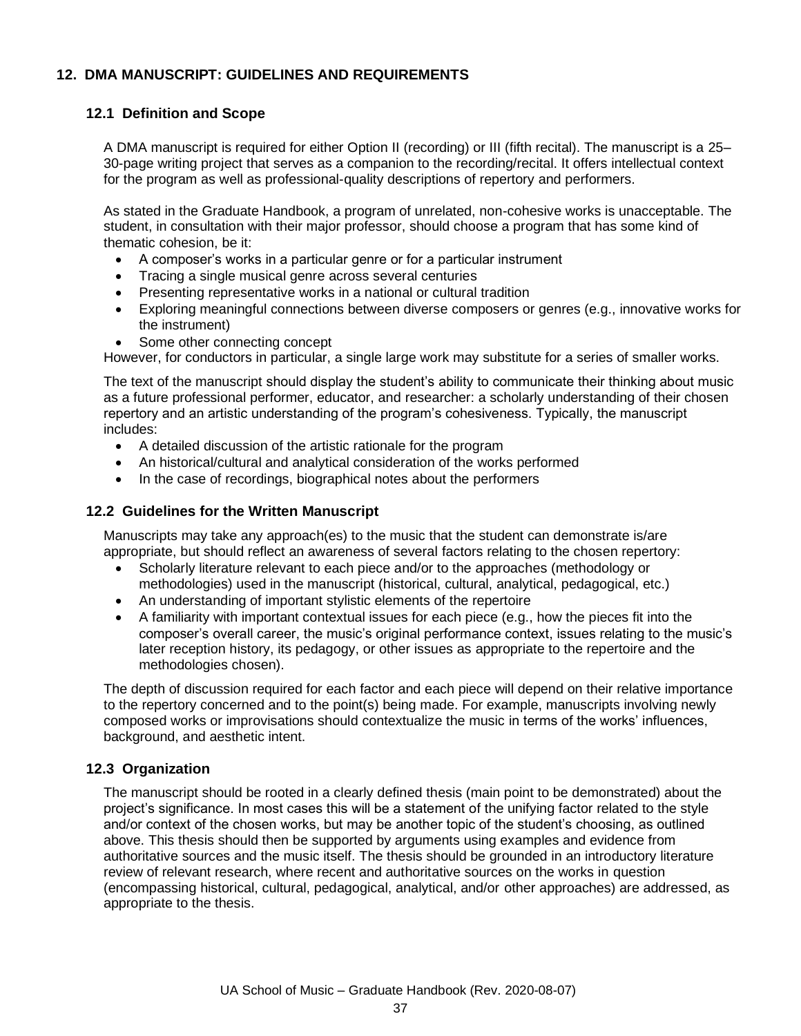## **12. DMA MANUSCRIPT: GUIDELINES AND REQUIREMENTS**

## **12.1 Definition and Scope**

A DMA manuscript is required for either Option II (recording) or III (fifth recital). The manuscript is a 25– 30-page writing project that serves as a companion to the recording/recital. It offers intellectual context for the program as well as professional-quality descriptions of repertory and performers.

As stated in the Graduate Handbook, a program of unrelated, non-cohesive works is unacceptable. The student, in consultation with their major professor, should choose a program that has some kind of thematic cohesion, be it:

- A composer's works in a particular genre or for a particular instrument
- Tracing a single musical genre across several centuries
- Presenting representative works in a national or cultural tradition
- Exploring meaningful connections between diverse composers or genres (e.g., innovative works for the instrument)
- Some other connecting concept

However, for conductors in particular, a single large work may substitute for a series of smaller works.

The text of the manuscript should display the student's ability to communicate their thinking about music as a future professional performer, educator, and researcher: a scholarly understanding of their chosen repertory and an artistic understanding of the program's cohesiveness. Typically, the manuscript includes:

- A detailed discussion of the artistic rationale for the program
- An historical/cultural and analytical consideration of the works performed
- In the case of recordings, biographical notes about the performers

## **12.2 Guidelines for the Written Manuscript**

Manuscripts may take any approach(es) to the music that the student can demonstrate is/are appropriate, but should reflect an awareness of several factors relating to the chosen repertory:

- Scholarly literature relevant to each piece and/or to the approaches (methodology or methodologies) used in the manuscript (historical, cultural, analytical, pedagogical, etc.)
- An understanding of important stylistic elements of the repertoire
- A familiarity with important contextual issues for each piece (e.g., how the pieces fit into the composer's overall career, the music's original performance context, issues relating to the music's later reception history, its pedagogy, or other issues as appropriate to the repertoire and the methodologies chosen).

The depth of discussion required for each factor and each piece will depend on their relative importance to the repertory concerned and to the point(s) being made. For example, manuscripts involving newly composed works or improvisations should contextualize the music in terms of the works' influences, background, and aesthetic intent.

## **12.3 Organization**

The manuscript should be rooted in a clearly defined thesis (main point to be demonstrated) about the project's significance. In most cases this will be a statement of the unifying factor related to the style and/or context of the chosen works, but may be another topic of the student's choosing, as outlined above. This thesis should then be supported by arguments using examples and evidence from authoritative sources and the music itself. The thesis should be grounded in an introductory literature review of relevant research, where recent and authoritative sources on the works in question (encompassing historical, cultural, pedagogical, analytical, and/or other approaches) are addressed, as appropriate to the thesis.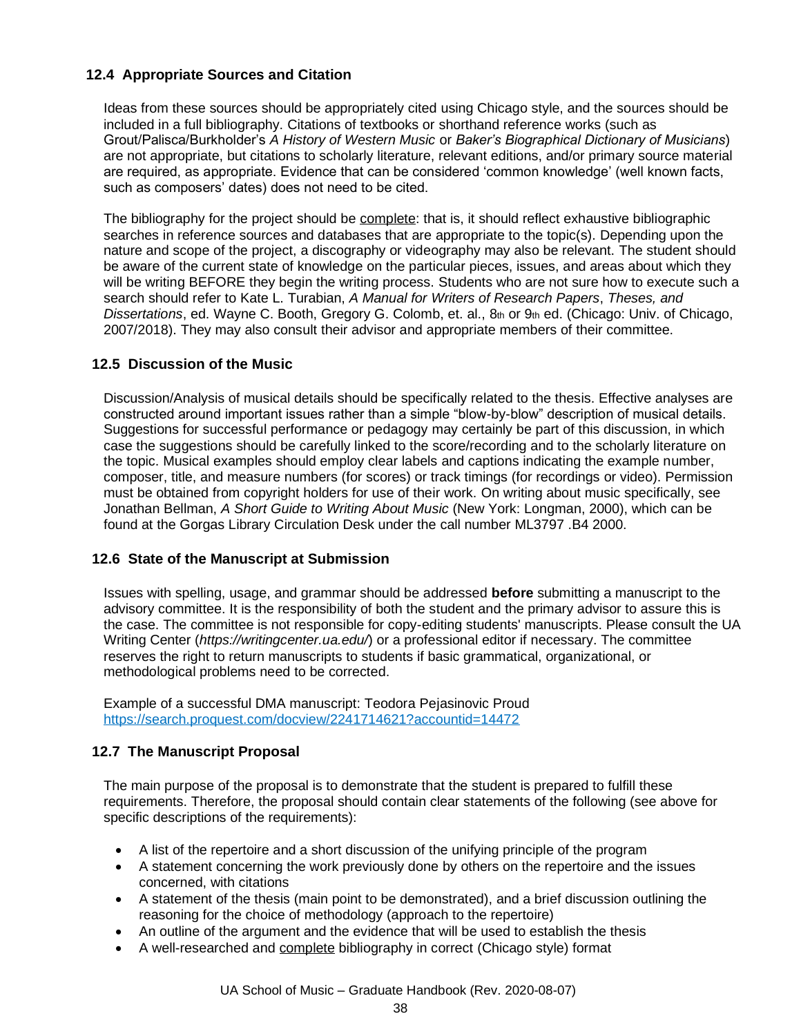## **12.4 Appropriate Sources and Citation**

Ideas from these sources should be appropriately cited using Chicago style, and the sources should be included in a full bibliography. Citations of textbooks or shorthand reference works (such as Grout/Palisca/Burkholder's *A History of Western Music* or *Baker's Biographical Dictionary of Musicians*) are not appropriate, but citations to scholarly literature, relevant editions, and/or primary source material are required, as appropriate. Evidence that can be considered 'common knowledge' (well known facts, such as composers' dates) does not need to be cited.

The bibliography for the project should be complete: that is, it should reflect exhaustive bibliographic searches in reference sources and databases that are appropriate to the topic(s). Depending upon the nature and scope of the project, a discography or videography may also be relevant. The student should be aware of the current state of knowledge on the particular pieces, issues, and areas about which they will be writing BEFORE they begin the writing process. Students who are not sure how to execute such a search should refer to Kate L. Turabian, *A Manual for Writers of Research Papers*, *Theses, and Dissertations*, ed. Wayne C. Booth, Gregory G. Colomb, et. al., 8th or 9th ed. (Chicago: Univ. of Chicago, 2007/2018). They may also consult their advisor and appropriate members of their committee.

## **12.5 Discussion of the Music**

Discussion/Analysis of musical details should be specifically related to the thesis. Effective analyses are constructed around important issues rather than a simple "blow-by-blow" description of musical details. Suggestions for successful performance or pedagogy may certainly be part of this discussion, in which case the suggestions should be carefully linked to the score/recording and to the scholarly literature on the topic. Musical examples should employ clear labels and captions indicating the example number, composer, title, and measure numbers (for scores) or track timings (for recordings or video). Permission must be obtained from copyright holders for use of their work. On writing about music specifically, see Jonathan Bellman, *A Short Guide to Writing About Music* (New York: Longman, 2000), which can be found at the Gorgas Library Circulation Desk under the call number ML3797 .B4 2000.

## **12.6 State of the Manuscript at Submission**

Issues with spelling, usage, and grammar should be addressed **before** submitting a manuscript to the advisory committee. It is the responsibility of both the student and the primary advisor to assure this is the case. The committee is not responsible for copy-editing students' manuscripts. Please consult the UA Writing Center (*<https://writingcenter.ua.edu/>*) or a professional editor if necessary. The committee reserves the right to return manuscripts to students if basic grammatical, organizational, or methodological problems need to be corrected.

Example of a successful DMA manuscript: Teodora Pejasinovic Proud <https://search.proquest.com/docview/2241714621?accountid=14472>

## **12.7 The Manuscript Proposal**

The main purpose of the proposal is to demonstrate that the student is prepared to fulfill these requirements. Therefore, the proposal should contain clear statements of the following (see above for specific descriptions of the requirements):

- A list of the repertoire and a short discussion of the unifying principle of the program
- A statement concerning the work previously done by others on the repertoire and the issues concerned, with citations
- A statement of the thesis (main point to be demonstrated), and a brief discussion outlining the reasoning for the choice of methodology (approach to the repertoire)
- An outline of the argument and the evidence that will be used to establish the thesis
- A well-researched and complete bibliography in correct (Chicago style) format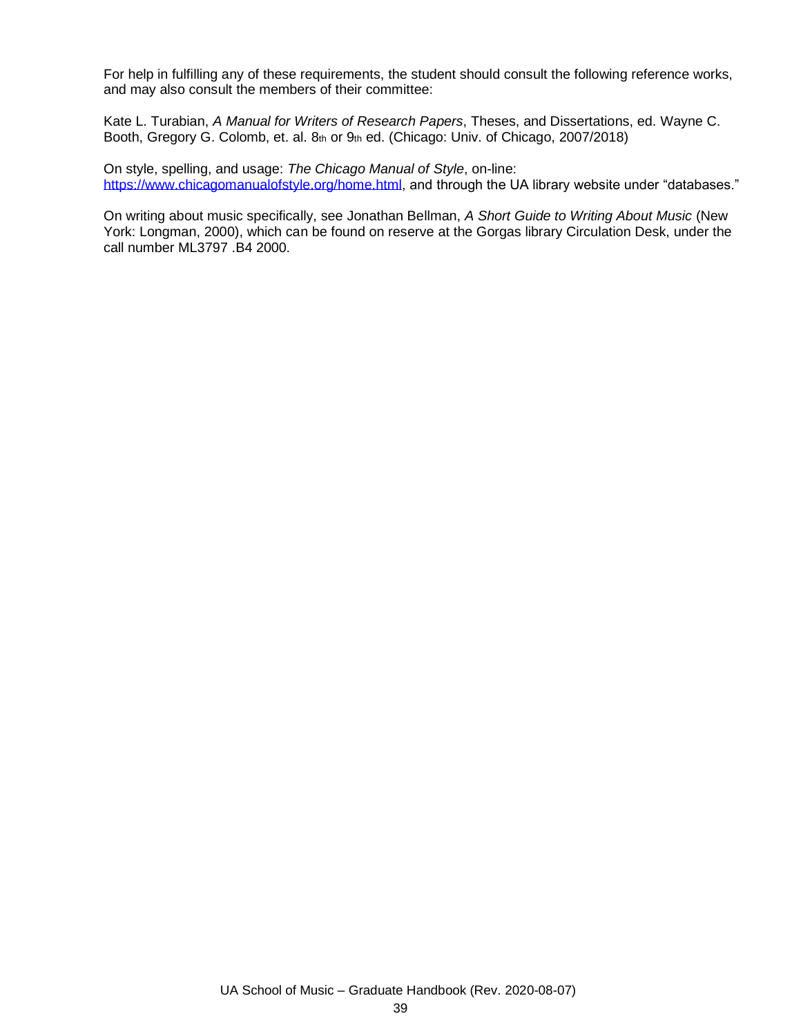For help in fulfilling any of these requirements, the student should consult the following reference works, and may also consult the members of their committee:

Kate L. Turabian, *A Manual for Writers of Research Papers*, Theses, and Dissertations, ed. Wayne C. Booth, Gregory G. Colomb, et. al. 8th or 9th ed. (Chicago: Univ. of Chicago, 2007/2018)

On style, spelling, and usage: *The Chicago Manual of Style*, on-line: [https://www.chicagomanualofstyle.org/home.html,](https://www.chicagomanualofstyle.org/home.html) and through the UA library website under "databases."

On writing about music specifically, see Jonathan Bellman, *A Short Guide to Writing About Music* (New York: Longman, 2000), which can be found on reserve at the Gorgas library Circulation Desk, under the call number ML3797 .B4 2000.